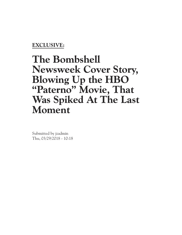### **EXCLUSIVE:**

# **The Bombshell Newsweek Cover Story, Blowing Up the HBO "Paterno" Movie, That Was Spiked At The Last Moment**

Submitted by jzadmin Thu, 03/29/2018 - 10:18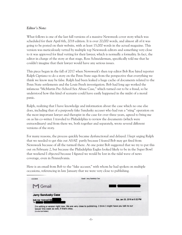#### *Editor's Note:*

What follows is one of the last full versions of a massive Newsweek cover story which was scheduled for their April 6th, 2018 edition. It is over 20,000 words, and almost all of it was going to be posted on their website, with at least 15,000 words in the actual magazine. This version was meticulously vetted by multiple top Newsweek editors and something very close to it was approved for final vetting for their lawyer, which is normally a formality. In fact, the editor in charge of the story at that stage, Ross Schneiderman, specifically told me that he couldn't imagine that their lawyer would have any serious issues.

This piece began in the fall of 2017 when Newsweek's then top editor Bob Roe hired reporter Ralph Cipriano to do a story on the Penn State saga from the perspective that everything we think we know may be false. Ralph had been leaked a huge cache of documents related to the Penn State settlements and the Louis Freeh investigation. Bob had long ago worked the infamous "McMartin Pre-School Sex Abuse Case," which turned out to be a fraud, so he understood how this kind of scenario could have easily happened in the midst of a moral panic.

Ralph, realizing that I have knowledge and information about the case which no one else does, including that of a purposely fake Sandusky accuser who had run a "sting" operation on the most important lawyer and therapist in the case for over three years, agreed to bring me on as his co-writer. I traveled to Philadelphia to review the documents (which were extraordinary) and from there we, both together and separately, wrote several different versions of the story.

For many reasons, the process quickly became dysfunctional and delayed. I kept urging Ralph that we needed to get this out ASAP, partly because I feared Bob may get fired from Newsweek because of all the turmoil there. At one point Bob suggested that we try to put this out on February 2, but because the Philadelphia Eagles looked likely to be in the Super Bowl that weekend I objected because I figured we would be lost in the tidal wave of news coverage, even in Pennsylvania.

Here is an email from Bob to the "fake accuser," with whom he had spoken on multiple occasions, referencing in late January that we were very close to publishing.

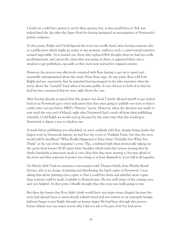I doubt we could have gotten it out by then anyway, but, as fate would have it, Bob was indeed fired the day after the Super Bowl for having instigated an investigation of Newsweek's parent company..

At that point, Ralph and I both figured the story was totally dead, since having someone else, at a publication which might go under at any moment, embrace such a controversial narrative seemed impossible. As it turned out, those who replaced Bob thought what we had was really good/important, and, given the chaos that was going on there, it appeared there was a window to get published, especially as they were now starved for original content.

However, the process was effectively restarted with Ross having to get up to speed and essentially reprogrammed about the entire Penn State saga. At one point, Ross told both Ralph and me, separately, that he regretted having jumped on the false narrative when he wrote about the "scandal" back when it became public. It was obvious to both of us that he had become convinced that we were right about the case.

After having already accepted that this project was dead, I slowly allowed myself to get sucked back in as Newsweek gave every indication that they were going to publish our story so that it could come out just before HBO's "Paterno" movie. However, when the decision was made to wait until the very end of March, right after Newsweek had a week off from their publishing schedule, I told Ralph we would end up doomed by the extra time that this would give Newsweek to figure a way to chicken out.

A week before publishing was scheduled, we were suddenly told that, despite being maybe the largest story in Newsweek history, we had lost the cover to Vladimir Putin, but that the story would still be headlined "What Really Happened at Penn State? Probably Not What You Think" at the top of the magazine's cover. This, combined with them irrationally taking out the quote from former NCIS agent John Snedden which ends this version (saying that he thinks Sandusky is innocent) made it very clear that they were starting to became afraid of the story and that someone in power was trying to at least diminish it, if not kill it all together.

On March 26th I had an extensive conversation with Thomas Smith, from Weekly Retail Service, who is in charge of printing and distributing the hard copies of Newsweek. I was asking him about printing extra copies so that I could buy them and whether more copies than normal could be made available to Pennsylvania. He was well aware of the coming story and very helpful. At that point, I finally thought that this story was really going to run.

But then the lawyer that Ross didn't think would have any major issues (largely because the story had already been so meticulously edited/vetted and was written in an extremely benign fashion) began to put Ralph through an insane ringer. He had been through this process before (which was one major reason why I did not ask to be part of it) but had never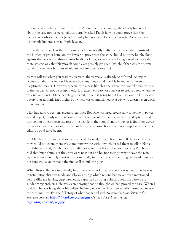experienced anything remotely like this. At one point, the lawyer, who clearly had no clue about the case nor it's personalities, actually asked Ralph how he could prove that the medical records we had for Jerry Sandusky had not been forged by his wife Dottie (which is just utterly ludicrous on multiple levels).

It quickly became clear that the winds had dramatically shifted and that suddenly, instead of the burden of proof being on the lawyer to prove that the story should not run, Ralph, alone against the lawyer and three editors he didn't know, somehow was being forced to prove that there was no way that Newsweek could ever possibly get sued (which, if that was the normal standard, the news business would immediately cease to exist).

As you will see when you read this version, the verbiage is already so safe and lacking in accusation that it is impossible to see how anything could possibly be fodder for even an illegitimate lawsuit. However, especially in a case like this one where everyone knows the rest of the media will not be sympathetic, it is extremely easy for a lawyer to create a fear where no rational one exists. Once people get scared, no one is going to put their ass on the line to save a story that not only isn't theirs, but which was commissioned by a guy who doesn't even work there anymore.

That had always been my greatest fear once Bob Roe was fired. Eventually someone in power would object, if only out of ignorance, and there would be no one with the ability to push it through, or at least keep the rest of the people in the room from turning on it (in other words, if this story was the idea of the current boss it is amazing how much more supportive the other editors would have been).

On March 28th, convinced we were indeed doomed, I urged Ralph to pull the story so that they could not claim there was something wrong with it which forced them to kill it. Naïve until the very end, Ralph once again did not take my advice. The next morning Ralph was told that huge chunks of the story were now out and he, not seeing a way to save the rest, especially on incredibly short notice, essentially told them the whole thing was dead. I am still not sure who exactly made the final call to pull the plug.

When Ross called me to officially inform me of what I already knew, it was clear that he was in total rationalization mode and obvious things which no one had never even mentioned before (like me having, gasp, previously expressed a strong opinion about the case) were suddenly big problems. He was even denying that he thought we had proved the case. When I told him he was lying about his beliefs, he hung up on me. The conversation lasted about two or three minutes. For the full story of what happened with Newsweek, *please listen to this extensive podcast: https://tinyurl.com/ycfmogaw Or, read this column I wrote: https://tinyurl.com/y78yybgn*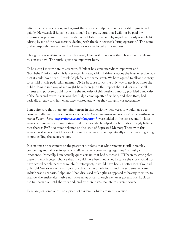After much consideration, and against the wishes of Ralph who is clearly still trying to get paid by Newsweek (I hope he does, though I am pretty sure that I will not be paid my expenses, as promised), I have decided to publish this version by myself with only some light editing by me of the two sections dealing with the fake accuser's "sting operation." The name of the purposely fake accuser has been, for now, redacted at his request.

Though it is something which I truly dread, I feel as if I have no other choice but to release this on my own. The truth is just too important here.

To be clear, I mostly hate this version. While it has some incredibly important and "bombshell" information, it is presented in a way which I think is about the least effective way that it could have been (I think Ralph feels the same way). We both agreed to allow the story to be told in this pedestrian manner ONLY because it was the only way to get it out into the public domain in a way which might have been given the respect that it deserves. For all intents and purposes, I did not write the majority of this version. I mostly provided a majority of the facts and rewrote versions that Ralph came up after first Bob, and then Ross, had basically already told him what they wanted and what they thought was acceptable.

I am quite sure that there are minor errors in this version which were, or would have been, corrected afterwards. I also know some details, *like a brand-new interview with an ex-girlfriend of Aaron Fisher – here: https://tinyurl.com/y9mgmwn7* were added at the last second. In later versions there were also some structural changes which helped it a bit. I also strongly believe that there is FAR too much reliance on the issue of Repressed Memory Therapy in this version as it seems that Newsweek thought that was the safe/politically correct way of getting around calling the accusers liars.

It is an amazing testament to the power of our facts that what remains is still incredibly compelling and, almost in spite of itself, extremely convincing regarding Sandusky's innocence. Ironically, I am actually quite certain that had our case NOT been so strong that there is a much better chance that it would have been published because the story would not have scared people nearly as much. In retrospect, it would have been a better idea if we had only sold Newsweek on a narrow story about what an obvious fraud the settlements were (which was a scenario Ralph and I had discussed at length) as opposed to having them try to swallow the entire alternative narrative all at once. Though we never got any pushback on the full narrative until the very end, and by then it was too late to reverse course.

Here are just some of the new pieces of evidence which are in this version: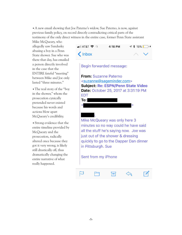•A new email showing that Joe Paterno's widow, Sue Paterno, is now, against previous family policy, on record directly contradicting critical parts of the testimony of the only direct witness in the entire case, former Penn State assistant

Mike McQueary, who allegedly saw Sandusky abusing a boy in a Penn State shower. Sue who was there that day, has emailed a person directly involved in the case that the ENTIRE fateful "meeting" between Mike and Joe only lasted "three minutes."

• The real story of the "boy" in the shower," whom the prosecution cynically pretended never existed because his words and actions blow apart McQueary's credibility.

•Strong evidence that the entire timeline provided by McQueary and the prosecution, radically altered once because they got it very wrong, is likely still drastically off, thus dramatically changing the entire narrative of what really happened.



Begin forwarded message:



Mike McQueary was only here 3 minutes so no way could he have said all the stuff he's saying now. Joe was just out of the shower & dressing quickly to go to the Dapper Dan dinner in Pittsburgh. Sue

#### Sent from my iPhone

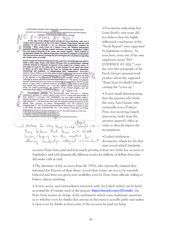CONFIDENTIAL/ATTORNEY-CLIENT PRIVILEGED COMMUNICATION/ATTORNEY WORS FRODUCT PRODUCT PRODUCT PRODUCT AND ACCOUNT WAS TO A THE PIU BOARD OF THE PRODUCT TEAM COUNSEL TEAM COUNSEL V  $\overline{D}$ ENCR A-L At the time of the alleged set ults by Jerry Sa re and environment in the Penn State Athletic Department that led staff embers to fail to identify or act on observed inappropriate conduct by Sandusky. When made aware of a violent crime, the Athletic Department leadership focused on damage control and more shocking. Sandusky's welfare vice the proper reporting of the crime and victim support. There existed an environment within the athletic department that led an employee to determine<br>that the perceived threat of losing his job outweighed the necessity of reporting the violent crime of a child. factors within the athletic department that may have led leadership and staff to frame a basic legal, moral, and ethical dilemma into an institutional "damage control" scenario or "humane" treatment of the suspect in a violent crime. It was sadly too easy for the main actors in this decision to not rep or follow up after they framed the issue as treating the suspect humanely, minimizing bad publicity, or safeguarding their employment. Sandusky's conduct toward children at the Penn State football facilities was observed by football Legislations and the Penn State football facilities was observed by football program personnel over a lang period of time but his condu Counsel recommendations are based on eliminating an environment that led to this failure to report either suspicious behavior or a violent crie<sub>)</sub> Some of the factors that created this environment are... less than opt mal huma resources practices within the athletic department, the isolation of the football program, and the loadership elimate within the football program. rship climate eithin the football program.<br>Intercollegiate Athletics. The Pennsylvania State University ( ) Athletic Department sponsors 31 varsity athletic teams with an annual operating budget of \$101 million.<sup>373</sup> Currently, THE UNIVERSITY has over eight hundred student-athletes, seventy-six couches, and three hundred and ten full and staff members.<sup>374</sup> The Ponn State University has enjoyed tremendous success on the athletic field winning 40 NCAA championships and 28 national team<br>championships and 28 national team<br>in the NCAA championships tie Penn State for seventh all time<br>in the NCAA in the NCAA for total championships won. The National Association of College <sup>22</sup> Kirk Diehl Int at 3, (2-15-12); Brad Caldwell Int at 4, (2-15-12); Joseph Ba 23 Penn State Annual Financial Report to the NCAA at 2.<br>24 Penn State Annual Financial Report to the NCAA at 19.<br>25 Traditions - Penn State University Official Athletic Site http://www.gopsusperts.com/trads/n ss.html. Retrieved 2012-05-21 > Motive tor why they buried complaints -They deduce that their rich NCAA history/legacy was the impoters for duct

•Documents indicating that Louis Freeh's own team did not believe that the highly influential conclusions of the "Freeh Report" were supported by legitimate evidence. As seen here, even one of his own employees wrote "NO EVIDENCE AT ALL!" over the very first paragraph of the Freeh Group's internal work product about the supposed "Penn State Football Culture" causing the "cover up."

•A new email demonstrating that the reporter who broke the story, Sara Ganim, who eventually won a Pulitzer Prize, was receiving, largely inaccurate, leaks from the attorney general's office in order to directly impact the investigation.

•Leaked settlement documents, which for the first time reveal which Sandusky

accusers Penn State paid and how much, proving at least two of the key accusers at Sandusky's trial told dramatically different stories for millions of dollars than they did under oath at trial.

• The identities of the accusers from the 1970s, who reportedly claimed they informed Joe Paterno of their abuse, reveal their stories are not to be remotely believed and were not given real credibility even by Penn State officials willing to believe almost anything.

•A new, secret, and extraordinary interview with, Ira Lubert *(which can be heard at around the 43-minute mark of this podcast: https://tinyurl.com/y7f7emnb)*, the Penn State trustee in charge of the settlements which raises legitimate questions as to whether even he thinks that anyone in this mess is actually guilty and makes it clear even he thinks at least some of the accusers he paid are lying.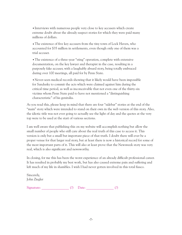•Interviews with numerous people very close to key accusers which create extreme doubt about the already suspect stories for which they were paid many millions of dollars.

•The existence of five key accusers from the tiny town of Lock Haven, who accounted for \$35 million in settlements, even though only one of them was a trial accuser.

•The existence of a three-year "sting" operation, complete with extensive documentation, on the key lawyer and therapist in the case, resulting in a purposely fake accuser, with a laughably absurd story, being totally embraced during over 100 meetings, all paid for by Penn State.

•Never-seen medical records showing that it likely would have been impossible for Sandusky to commit the acts which were claimed against him during the critical time period, as well as inconceivable that not even one of the thirty-six victims whom Penn State paid to have not mentioned a "distinguishing characteristic" of his genitalia.

As you read this, please keep in mind that there are four "sidebar" stories at the end of the "main" story which were intended to stand on their own in the web version of this story. Also, the idiotic title was not ever going to actually see the light of day and the quotes at the very top were to be used at the start of various sections.

I am well aware that publishing this on my website will accomplish nothing but allow the small number of people who still care about the real truth of this case to access it. This version is only but a small but important piece of that truth. I doubt there will ever be a proper venue for that larger real story, but at least there is now a historical record for some of the most important parts of it. This will also at least prove that the Newsweek story was very real, which is also significant and newsworthy.

In closing, for me this has been the worst experience of an already difficult professional career. It has resulted in probably my best work, but has also caused extreme pain and suffering and left much of my life in shambles. I wish I had never gotten involved in this total fiasco.

Sincerely, John Ziegler

 $Signature:$  (?) Date: (?) ()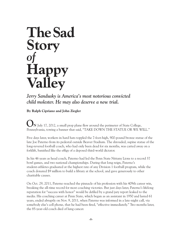# **TheSad Story** *of* **Happy Valley**

*Jerry Sandusky is America's most notorious convicted child molester. He may also deserve a new trial.*

**By Ralph Cipriano and John Ziegler**

**N** July 17, 2012, a small prop plane flew around the perimeter of State College, **O** Pennsylvania, towing a banner that said, "TAKE DOWN THE STATUE OR WE WILL."

Five days later, workers in hard hats toppled the 7-foot-high, 900-pound bronze statue of the late Joe Paterno from its pedestal outside Beaver Stadium. The shrouded, supine statue of the long-revered football coach, who had only been dead for six months, was carted away on a forklift, banished like the effigy of a deposed third-world dictator.

In his 46 years as head coach, Paterno had led the Penn State Nittany Lions to a record 37 bowl games, and two national championships. During that long reign, Paterno's student-athletes graduated at the highest rate of any Division 1 football program, while the coach donated \$9 million to build a library at the school, and gave generously to other charitable causes.

On Oct. 29, 2011, Paterno reached the pinnacle of his profession with his 409th career win, breaking the all-time record for most coaching victories. But just days later, Paterno's lifelong reputation for "success with honor" would be defiled by a grand jury report leaked to the media. His coaching career at Penn State, which began as an assistant in 1950 and lasted 61 years, ended abruptly on Nov. 9, 2011, when Paterno was informed in a late-night call, via somebody else's cell phone, that he had been fired, "effective immediately." Two months later, the 85-year-old coach died of lung cancer.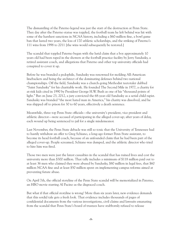The dismantling of the Paterno legend was just the start of the destruction at Penn State. They day after the Paterno statue was toppled, the football team he left behind was hit with some of the harshest sanctions in NCAA history, including a \$60-million fine, a bowl game ban that lasted two years, the loss of 170 athletic scholarships, and the striking of Paterno's 111 wins from 1998 to 2011 [the wins would subsequently be restored.]

The scandal that toppled Paterno began with the lurid claim that a boy approximately 10 years old had been raped in the showers at the football practice facility by Jerry Sandusky, a retired assistant coach, and allegations that Paterno and other top university officials had conspired to cover it up.

Before he was branded a pedophile, Sandusky was renowned for molding All-American linebackers and being the architect of the dominating defenses behind two national championships. Off the field, Sandusky was a church-going Methodist teetotaler dubbed "Saint Sandusky" for his charitable work. He founded The Second Mile in 1977, a charity for at-risk kids cited in 1990 by President George H.W. Bush as one of his "thousand points of light." But on June 23, 2012, a jury convicted the 68-year-old Sandusky as a serial child rapist. Sandusky was branded "the most hated man in America," his charity was dissolved, and he was shipped off to prison for 30 to 60 years, effectively a death sentence.

Meanwhile, three top Penn State officials—the university's president, vice president and athletic director—were accused of participating in the alleged cover-up; after years of delay, each wound up being sentenced to jail for a single misdemeanor.

Last November, the Penn State debacle was still so toxic that the University of Tennessee had to hastily withdraw an offer to Greg Schiano, a long-ago former Penn State assistant, to become its head football coach, because of an unfounded claim that he had been part of the alleged cover-up. People screamed, Schiano was dumped, and the athletic director who tried to hire him was fired.

Those two men were just the latest casualties in the scandal that has ruined lives and cost the university more than \$300 million. That tally includes a minimum of \$118 million paid out to at least 36 men who claimed they were abused by Sandusky, \$80 million in legal fees, that \$60 million NCAA fine and at least \$50 million spent on implementing campus reforms aimed at preventing future abuse.

On April 7th, the official storyline of the Penn State scandal will be memorialized in Paterno, an HBO movie starring Al Pacino as the disgraced coach.

But what if that official storyline is wrong? More than six years later, new evidence demands that this sordid tale gets a fresh look. That evidence includes thousands of pages of confidential documents from the various investigations, civil claims and lawsuits emanating from the scandal that Penn State's board of trustees have stubbornly refused to release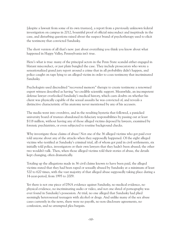[despite a lawsuit from some of its own trustees], a report from a previously unknown federal investigation on campus in 2012, bountiful proof of official misconduct and ineptitude in the case, and disturbing questions raised about the suspect brand of psychotherapy used to elicit the testimony that convicted Sandusky.

The short version of all that's new: just about everything you think you know about what happened in Happy Valley, Pennsylvania isn't true.

Here's what is true: many of the principal actors in the Penn State scandal either engaged in blatant misconduct, or just plain bungled the case. They include prosecutors who wrote a sensationalized grand jury report around a crime that in all probability didn't happen, and police caught on tape lying to an alleged victim in order to coax testimony that incriminated Sandusky.

Psychologists used discredited "recovered memory" therapy to create testimony a renowned expert witness described as having "no credible scientific support. Meanwhile, an incompetent defense lawyer overlooked Sandusky's medical history, which casts doubts on whether his client was physically capable of the sexual assaults he was convicted of, and reveals a distinctive characteristic of his anatomy never mentioned by any of his accusers.

The media went into overdrive, and in the resulting hysteria that followed, a panicked university board of trustees abandoned its fiduciary responsibilities by passing out at least \$118 million, without having any of those alleged victims deposed by lawyers, examined by forensic psychiatrists, or even subjected to routine background checks.

Why investigate those claims of abuse? Not one of the 36 alleged victims who got paid ever told anyone about any of the attacks when they supposedly happened. Of the eight alleged victims who testified at Sandusky's criminal trial, all of whom got paid in civil settlements, six initially told police, investigators or their own lawyers that they hadn't been abused; the other two wouldn't talk. Then, when those alleged victims told their stories of abuse, the details kept changing, often dramatically.

Totaling up the allegations made in 36 civil claims known to have been paid, the alleged victims stated that they had been raped or sexually abused by Sandusky at a minimum of least 520 to 620 times, with the vast majority of that alleged abuse supposedly taking place during a 14-year-period, from 1995 to 2009.

Yet there is not one piece of DNA evidence against Sandusky, no medical evidence, no physical evidence, no incriminating audio or video, and not one shred of pornography was ever found in Sandusky's possession. At trial, no one alleged that Sandusky had plied seemingly heterosexual teenagers with alcohol or drugs. And unlike many of the sex abuse cases currently in the news, there were no payoffs, no non-disclosure agreements, no confession, and no attempted plea bargain.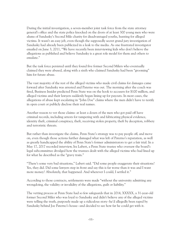During the initial investigation, a seven-member joint task force from the state attorney general's office and the state police knocked on the doors of at least 300 young men who were alums of Sandusky's Second Mile charity for disadvantaged youths, hunting for alleged victims. It wasn't an easy job, even though the supposedly secret grand jury investigation of Sandusky had already been publicized in a leak to the media. As one frustrated investigator emailed on June 3, 2011, "We have recently been interviewing kids who don't believe the allegations as published and believe Sandusky is a great role model for them and others to emulate."

But the task force persisted until they found five former Second Milers who eventually claimed they were abused, along with a sixth who claimed Sandusky had been "grooming" him for future abuse.

The vast majority of the rest of the alleged victims who made civil claims for damages came forward after Sandusky was arrested and Paterno was out. The morning after the coach was fired, Business Insider predicted Penn State was on the hook to accusers for \$100 million, and alleged victims and their lawyers suddenly began lining up for payouts. In most cases, the allegations of abuse kept escalating in "John Doe" claims where the men didn't have to testify in open court or publicly disclose their real names.

Another reason to vet those claims: at least a dozen of the men who got paid off have criminal records, including arrests for tampering with and fabricating physical evidence, identity theft, criminal conspiracy, theft, receiving stolen property, theft by deception, robbery and terroristic threats.

But rather than investigate the claims, Penn State's strategy was to pay people off, and move on, even though those actions further damaged what was left of Paterno's reputation, as well as greatly handicapped the ability of Penn State's former administrators to get a fair trial. In a May 17, 2017 recorded interview, Ira Lubert, a Penn State trustee who oversaw the board's legal subcommittee divulged how the trustees dealt with the alleged victims who had lined up for what he described as the "gravy train."

"There's some very bad situations," Lubert said. "Did some people exaggerate their situations? Yes, they did. Did some lawyers step in front and say this is far worse than it was and I want more money? Absolutely, that happened. And wherever I could, I settled it."

According to those contracts, settlements were made "without the university admitting any wrongdoing, the validity or invalidity of the allegations, guilt or liability."

The vetting process at Penn State had so few safeguards that in 2014, XXXXX, a 31-year-old former Second Miler who was loyal to Sandusky and didn't believe any of the alleged victims were telling the truth, purposely made up a ridiculous story--he'd allegedly been raped by Sandusky behind Joe Paterno's house--and decided to see how far he could get with it.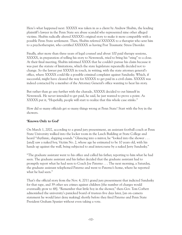Here's what happened next: XXXXX was taken in as a client by Andrew Shubin, the leading plaintiff's lawyer in the Penn State sex abuse scandal who represented nine other alleged victims. Shubin radically altered XXXXX's original story to make it more compatible with a possible Penn State settlement. Then, Shubin referred XXXXXX to a therapist who sent him to a psychotherapist, who certified XXXXXX as having Post Traumatic Stress Disorder.

Finally, after more than three years of legal counsel and about 100 paid therapy sessions, XXXXX, in preparation of telling his story to Newsweek, tried to bring his "sting" to a close. At their final meeting, Shubin informed XXXX that he couldn't pursue his claim because it was past the statute of limitations, which the state legislature repeatedly decided not to change. So the lawyer put XXXXX in touch, in writing, with the state attorney general's office, where XXXXX could file a possible criminal complaint against Sandusky. Which, if successful, might have cleared the way for XXXXX to get paid in a civil claim. XXXXX was indeed contacted by a member of the Attorney General's office wanting to hear his story.

But rather than go any further with the charade, XXXXX decided to out himself in Newsweek. He never intended to get paid, he said, he just wanted to prove a point. As XXXXX put it, "Hopefully, people will start to realize that this whole case stinks."

How did so many officials get so many things wrong at Penn State? Start with the boy in the showers.

#### **'Known Only to God'**

On March 1, 2002, according to a grand jury presentment, an assistant football coach at Penn State University walked into the locker room in the Lasch Building at State College and heard "rhythmic, slapping sounds." Glancing into a mirror, he "looked into the shower . . . [and] saw a naked boy, Victim No. 2, whose age he estimated to be 10 years old, with his hands up against the wall, being subjected to anal intercourse by a naked Jerry Sandusky."

"The graduate assistant went to his office and called his father, reporting to him what he had seen. The graduate assistant and his father decided that the graduate assistant had to promptly report what he had seen to Coach Joe Paterno . . . The next morning, a Saturday, the graduate assistant telephoned Paterno and went to Paterno's home, where he reported what he had seen."

That's the official story from the Nov. 4, 2011 grand jury presentment that indicted Sandusky for that rape, and 39 other sex crimes against children [the number of charges would eventually grow to 48]. "Remember that little boy in the shower," then-Gov. Tom Corbett admonished the university's panicked board of trustees five days later, [an on-camera statement he would later deny making] shortly before they fired Paterno and Penn State President Graham Spanier without even taking a vote.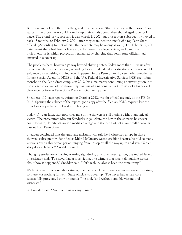But there are holes in the story the grand jury told about "that little boy in the shower." For starters, the prosecutors couldn't make up their minds about when that alleged rape took place. The grand jury report said it was March 1, 2002, but prosecutors subsequently moved it back 13 months, to February 9, 2001, after they examined the emails of a top Penn State official. [According to that official, the new date may be wrong as well.] The February 9, 2001 date meant there had been a 10-year gap between the alleged crime, and Sandusky's indictment for it, which prosecutors explained by charging that Penn State officials had engaged in a cover up.

The problems here, however, go way beyond shifting dates. Today, more than 17 years after the official date of the incident, according to a retired federal investigator, there's no credible evidence that anything criminal ever happened in the Penn State showers. John Snedden, a former Special Agent for NCIS and the U.S. Federal Investigative Services [FIS] spent four months on the Penn State campus in 2012, his alma mater, conducting an investigation into the alleged cover-up of the shower rape as part of a national security review of a high-level clearance for former Penn State President Graham Spanier.

Snedden's 110-page report, written in October 2012, was for official use only at the FIS. In 2013, Spanier, the subject of the report, got a copy after he filed an FOIA request, but the report wasn't publicly disclosed until last year.

Today, 17 years later, that notorious rape in the showers is still a crime without an official victim. The prosecutors who put Sandusky in jail claim the boy in the showers has never come forward, despite saturation media coverage and the certainty of a multimillion-dollar payout from Penn State.

Snedden concluded that the graduate assistant who said he'd witnessed a rape in those showers, subsequently identified as Mike McQueary, wasn't credible because he told so many versions over a three-year-period ranging from horseplay all the way up to anal sex. "Which story do you believe?" Snedden asked.

Changing stories are a flashing warning sign during any rape investigation, the retired federal investigator said. "I've never had a rape victim, or a witness to a rape, tell multiple stories about how it happened," Snedden said. "If it's real, it's always been the same thing."

Without a victim or a reliable witness, Snedden concluded there was no evidence of a crime, so there was nothing for Penn State officials to cover up. "I've never had a rape case successfully prosecuted only on sounds," he said, "and without credible victims and witnesses."

As Snedden said, "None of it makes any sense."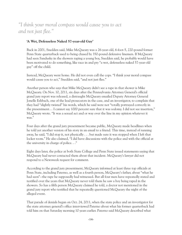## *"I think your moral compass would cause you to act and not just flee."*

#### **'A Wet, Defenseless Naked 57-year-old Guy'**

Back in 2001, Snedden said, Mike McQueary was a 26-year-old, 6-foot-5, 220-pound former Penn State quarterback used to being chased by 350-pound defensive linemen. If McQueary had seen Sandusky in the showers raping a young boy, Snedden said, he probably would have been motivated to do something, like race in and pry "a wet, defenseless naked 57-year-old guy" off the child.

Instead, McQueary went home. He did not even call the cops. "I think your moral compass would cause you to act," Snedden said, "and not just flee."

Another person who says that Mike McQueary didn't see a rape in that shower is Mike McQueary. On Nov. 10, 2011, six days after the Pennsylvania Attorney General's official grand jury report was released, a distraught McQueary emailed Deputy Attorney General Jonelle Eshbach, one of the lead prosecutors in the case, and an investigator, to complain that they had "slightly twisted" his words, which he said were not "totally portrayed correctly in the presentment… I cannot say 1000 percent sure that it was sodomy. I did not see insertion," McQueary wrote. "It was a sexual act and or way over the line in my opinion whatever it was."

Four days after the grand jury presentment became public, McQueary made headlines when he told yet another version of his story in an email to a friend. This time, instead of running away, he said, "I did stop it, not physically . . . but made sure it was stopped when I left that locker room." He also claimed, "I did have discussions with the police and with the official at the university in charge of police. . ."

Eight days later, the police at both State College and Penn State issued statements saying that McQueary had never contacted them about that incident. McQueary's lawyer did not respond to a Newsweek request for comment.

According to the grand jury presentment, McQueary informed at least three top officials at Penn State, including Paterno, as well as a fourth person, McQueary's father, about "what he had seen"--the rape he supposedly had witnessed. But all four men have repeatedly stated and testified over the years that McQueary never told them he saw a boy being raped in the showers. So has a fifth person McQueary claimed he told, a doctor not mentioned in the grand jury report who testified that he repeatedly questioned McQueary the night of the alleged event.

That parade of denials began on Oct. 24, 2011, when the state police and an investigator for the state attorney general's office interviewed Paterno about what his former quarterback had told him on that Saturday morning 10 years earlier. Paterno said McQueary described what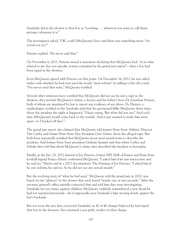Sandusky did in the shower to that boy as "touching . . . whatever you want to call them, privates, whatever it is."

The investigator asked, "OK, could [McQueary] have said there was something more? An actual sex act?"

Paterno replied, "He never said that."

On November 6, 2011, Paterno issued a statement declaring that McQueary had, "at no time related to me the very specific actions contained in the grand jury report"—that a boy had been raped in the showers.

Even McQueary agreed with Paterno on that point. On December 16, 2011, he was asked under oath whether he had ever used the words "anal sodomy" in talking to his old coach. "I've never used that term," McQueary testified.

Several other witnesses have testified that McQueary did not say he saw a rape in the showers; they include McQueary's father, a doctor, and his father's boss, Dr. Jonathan Dranov, both of whom are mandated by law to report any evidence of sex abuse. Dr. Dranov, a nephrologist, testified at the Sandusky trial that he questioned Mike McQueary three times about the incident the night it happened. "I kept saying, 'But what did you see?' And each time [McQueary] would come back to the sounds. And it just seemed to make him more upset. So I backed off that."

The grand jury report also claimed that McQueary told former Penn State Athletic Director Tim Curley and former Penn State Vice President Gary Schutz about the alleged rape. But both have repeatedly testified that McQueary never used sexual terms to describe the incident. And former Penn State president Graham Spanier said that when Curley and Schultz first told him about McQueary's claim, they described the incident as horseplay.

Finally, at the Jan. 25, 2012 funeral of Joe Paterno, former NFL Hall-of-Famer and Penn State football legend Franco Harris confronted McQueary. "I asked him if he saw intercourse and he said no," Harris said in a 2012 documentary, The Framing of Joe Paterno. "I asked him if he saw sodomy, he said no. So he did not see any sexual assault."

But the evolving story of "what he had seen," McQueary told the grand jury in 2010, was based on two "glances" in the shower that each lasted "maybe one or two seconds." After the attorney general's office initially contacted him and told him they were investigating Sandusky for sex crimes against children, McQueary suddenly remembered a new detail he had not reported previously—he'd supposedly seen Sandusky's hips moving slowly against the boy's backside.

But not even the jury that convicted Sandusky on 45 of 48 charges believed he had raped that boy in the showers: they returned a not guilty verdict on that charge.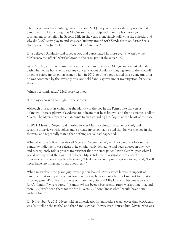There is yet another troubling question about McQueary: why was evidence presented at Sandusky's trial indicating that McQueary had participated in multiple charity golf tournament to benefit The Second Mile in the years immediately following the episode, and why did McQueary play in and was seen kidding around with Sandusky at an Easter Seals charity event on June 21, 2002, coached by Sandusky?

If he believed Sandusky had raped a boy, and participated in those events, wasn't Mike McQueary, the official whistleblower in the case, part of the cover-up?

At a Dec. 16, 2011 preliminary hearing on the Sandusky case, McQueary was asked under oath whether he had ever raised any concerns about Sandusky hanging around the football program before investigators came to him in 2010, or if he'd only raised those concerns after he was contacted by the investigators, and told Sandusky was under investigation for sexual abuse.

"Almost certainly after," McQueary testified.

"Nothing occurred that night in the shower."

Although prosecutors claim that the identity of the boy in the Penn State showers is unknown, there is plenty of evidence to indicate that he is known, and that his name is Allan Myers. The Myers story, which amounts to an astounding flip-flop, is at the heart of the case.

In 2011, Myers, a 24-year-old married former Marine voluntarily came forward, and in separate interviews with police and a private investigator, insisted that he was the boy in the showers, and repeatedly stated that nothing sexual had happened.

When the state police interviewed Myers on September 20, 2011, two months before the Sandusky indictment was released, he emphatically denied he had been abused in any way, and subsequently told a private investigator that the state police "were clearly upset when I would not say what they wanted to hear." Myers told the investigator he'd ended the interview with the state police by saying, "I feel like you're trying to get me to lie," and, "I will never have anything bad to say about Jerry."

When news about the grand jury investigation leaked, Myers wrote letters in support of Sandusky that were published in two newspapers; he also sent a letter of support to the state attorney general's office. "I am one of those many Second Mile kids who became a part of Jerry's 'family,'" Myers wrote. "[Sandusky] has been a best friend, tutor, workout mentor, and more . . . Jerry's been there for me for 13 years. . . I don't know what I would have done without him."

On November 9, 2011, Myers told an investigator for Sandusky's trial lawyer that McQueary was "not telling the truth," and that Sandusky had "never, ever" abused him. Myers, who was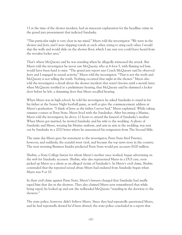13 at the time of the shower incident, had an innocent explanation for the headline crime in the grand jury presentment that indicted Sandusky.

"This particular night is very clear in my mind," Myers told the investigator. "We were in the shower and Jerry and I were slapping towels at each other, trying to sting each other. I would slap the walls and would slide on the shower floor, which I am sure you could have heard from the wooden locker area."

That's where McQueary said he was standing when he allegedly witnessed the attack. But Myers told the investigator he never saw McQueary, who at 6-foot-5, with flaming red hair, would have been hard to miss. "The grand jury report says Coach McQueary said he observed Jerry and I engaged in sexual activity," Myers told the investigator. "That is not the truth and McQueary is not telling the truth. Nothing occurred that night in the shower." Myers also told the investigator a detail about the shower incident that wasn't known until a month later, when McQueary testified at a preliminary hearing, that McQueary said he slammed a locker door before he left, a slamming door that Myers recalled hearing.

When Myers was in high school, he told the investigator, he asked Sandusky to stand in for his father at the Senior Night football game, as well as give the commencement address at Myers's graduation. "I think of Jerry as the father I never had," Myers explained. While taking summer courses at Penn State, Myers lived with the Sanduskys. After becoming a Marine, Myers told the investigator, he drove 12 hours to attend the funeral of Sandusky's mother. When Myers got married, he invited Sandusky and his wife to the wedding. A photo of Sandusky and Myers, wearing his Marine uniform, and arm in arm at the wedding, was sent out by Sandusky in a 2010 letter where he announced his resignation from The Second Mile.

The same day Myers gave his statement to the investigator, Penn State fired Paterno, however, and suddenly, the scandal went viral, and became the top news story in the country. The next morning Business Insider predicted Penn State would pay accusers \$100 million.

Shubin, a State College lawyer for whom Myers's mother once worked, began advertising on the web for Sandusky accusers. Shubin, who also represented Myers in a DUI case, soon picked up Myers as a client as an alleged victim of Sandusky's. In Myers's civil claim, Shubin contended that the repeated sexual abuse Myers had endured from Sandusky began when Myers was 9 or 10.

In their civil claim against Penn State, Myers's lawyers charged that Sandusky had anally raped him that day in the showers. They also claimed Myers now remembered that while being raped, he looked up and saw the redheaded McQueary "standing in the doorway to the showers."

The state police, however, didn't believe Myers. Since they had repeatedly questioned Myers, and he had repeatedly denied he'd been abused, the state police concluded in a report that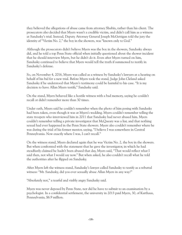they believed the allegations of abuse came from attorney Shubin, rather than his client. The prosecutors also decided that Myers wasn't a credible victim, and didn't call him as a witness at Sandusky's trial. Instead, Deputy Attorney General Joseph McGettigan told the jury the identity of "Victim No. 2," the boy in the showers, was "known only to God."

Although the prosecutors didn't believe Myers was the boy in the showers, Sandusky always did, and he told a top Penn State official when initially questioned about the shower incident that he should interview Myers, but he didn't do it. Even after Myers turned on him, Sandusky continued to believe that Myers would tell the truth if summoned to testify in Sandusky's defense.

So, on November 4, 2016, Myers was called as a witness by Sandusky's lawyers at a hearing on behalf of his bid for a new trial. Before Myers took the stand, Judge John Cleland asked Sandusky if he understood that Myers's testimony could be harmful to his case. "It is my decision to have Allan Myers testify," Sandusky said.

On the stand, Myers behaved like a hostile witness with a bad memory, saying he couldn't recall or didn't remember more than 30 times.

Under oath, Myers said he couldn't remember when the photo of him posing with Sandusky had been taken, even though it was at Myers's wedding. Myers couldn't remember telling the state troopers who interviewed him in 2011 that Sandusky had never abused him. Myers couldn't remember telling a private investigator that McQueary was a liar, and that nothing sexual had ever happened in the Penn State showers. Myers also couldn't remember where he was during the trial of his former mentor, saying, "I believe I was somewhere in Central Pennsylvania. Now exactly where I was, I can't recall."

On the witness stand, Myers declared again that he was Victim No. 2, the boy in the showers. But when confronted with the statement that he gave the investigator, in which he had steadfastly claimed he hadn't been abused that day, Myers said, "That would reflect what I said then, not what I would say now." But when asked, he also couldn't recall what he told the authorities after he flipped on Sandusky.

After Myers left the witness stand, Sandusky's lawyer called Sandusky to testify as a rebuttal witness: "Mr. Sandusky, did you ever sexually abuse Allan Myers in any way?"

"Absolutely not," a tearful and visibly angry Sandusky said.

Myers was never deposed by Penn State, nor did he have to submit to an examination by a psychologist. In a confidential settlement, the university in 2013 paid Myers, 30, of Karthaus, Pennsylvania, \$6.9 million.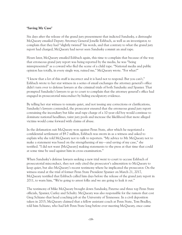#### **'Saving My Case'**

Six days after the release of the grand jury presentment that indicted Sandusky, a distraught McQueary emailed Deputy Attorney General Jonelle Eshbach, as well as an investigator, to complain that they had "slightly twisted" his words, and that contrary to what the grand jury report had charged, McQueary had never seen Sandusky commit an anal rape.

Hours later, McQueary emailed Eshbach again, this time to complain that because of the way that erroneous grand jury report was being reported by the media, he was "being misrepresented" as a coward who fled the scene of a child rape. "National media and public opinion has totally, in every single way, ruined me," McQueary wrote. "For what?"

"I know that a lot of this stuff is incorrect and it is hard not to respond. But you can't," Eshbach wrote to her star witness in a series of email exchanges the attorney general's office didn't turn over to defense lawyers at the criminal trials of both Sandusky and Spanier. That prompted Sandusky's lawyers to go to court to complain that the attorney general's office had engaged in prosecutorial misconduct by hiding exculpatory evidence.

By telling her star witness to remain quiet, and not issuing any corrections or clarifications, Sandusky's lawyers contended, the prosecutor ensured that the erroneous grand jury report containing the incendiary but false anal rape charge of a 10-year-old boy would continue to dominate national headlines, taint jury pools and increase the likelihood that more alleged victims would come forward with claims of abuse.

In the defamation suit McQueary won against Penn State, after which he negotiated a confidential settlement of \$9.7 million, Eshbach was sworn in as a witness and asked to explain why she told McQueary not to talk to reporters. "My advice to Mr. McQueary not to make a statement was based on the strengthening of my—and saving of my case," she testified. "I did not want [McQueary] making statements to the press at that time that could at some time be used against him in cross-examination."

When Sandusky's defense lawyers seeking a new trial went to court to accuse Eshbach of prosecutorial misconduct, they not only cited the prosecutor's admonition to McQueary to keep quiet, but also McQueary's recent testimony where he implicated the prosecutor. On the witness stand at the trial of former Penn State President Spanier on March 21, 2017, McQueary testified that Eshbach called him days before the release of the grand jury report in 2011, to warn him, "We're going to arrest folks and we are going to leak it out."

The testimony of Mike McQueary brought down Sandusky, Paterno and three top Penn State officials, Spanier, Curley and Schultz. McQueary was also responsible for the rumors that cost Greg Schiano that head coaching job at the University of Tennessee. In a civil deposition taken in 2015, McQueary claimed that a fellow assistant coach at Penn State, Tom Bradley, told him Schiano, who had left Penn State long before ever meeting McQueary, once came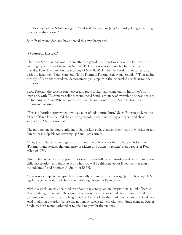into Bradley's office "white as a ghost" and said "he just saw Jerry Sandusky doing something to a boy in the shower."

Both Bradley and Schiano have denied this ever happened.

#### **'99 Percent Hysteria'**

The Penn State campus was bedlam after the grand jury report was leaked to Pulitzer-Prize winning reporter Sara Ganim on Nov. 4, 2011, after it was supposedly placed online by mistake, Four days later, on the morning of Nov. 8, 2011, The New York Times ran a story with the headline, "Penn State Said To Be Planning Paterno Exit Amid Scandal." That night, throngs of Penn State students demonstrating in support of the embattled coach surrounded his house.

Scott Paterno, the coach's son, lawyer and press spokesman, came out on his father's front lawn and, with TV cameras rolling, pronounced Sandusky guilty of everything he was accused of. In doing so, Scott Paterno invested his family and most of Penn State Nation in an unproven narrative.

"This is a horrible story which involved a lot of kids getting hurt," Scott Paterno said. As the father of three kids, he told the cheering crowd, it was time to "say a prayer," and show support for "the victims first."

The national media, now confident of Sandusky's guilt, changed their focus to whether or not Paterno was culpable for covering up Sandusky's crimes.

"They [Penn State] have to get past this, and the only way for that to happen is for him [Paterno], and perhaps the university president and others to resign," stated reporter Ron Allen of NBC.

Paterno had to go "because you cannot watch a football game Saturday and be thinking about child molestation, and that's exactly what you will be thinking about if you see that man on the sidelines," said Stephen A. Smith of ESPN.

"This was a complete collapse, legally, morally and in every other way," Jeffrey Toobin, CNN legal analyst, editorialized about the unfolding disaster at Penn State.

Within a week, an artist painted over Sandusky's image on an "Inspiration" mural of heroic Penn State figures outside the campus bookstore. Paterno was fired. Ten thousand students gathered on campus for a candlelight vigil on behalf of the then-unknown victims of Sandusky. And finally, on Saturday, before the nationally-televised Nebraska-Penn State game at Beaver Stadium, both teams gathered at midfield to pray for the victims.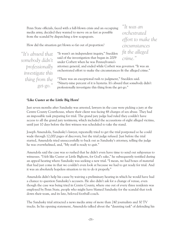Penn State officials, faced with a full-blown crisis and an occupying media army, decided they wanted to move on as fast as possible from the scandal by dispatching a few scapegoats.

How did the situation get blown so far out of proportion?

*"It's absurd that somebody didn't professionally investigate this thing from the get-go."* "It wasn't an independent inquiry," Snedden said of the investigation that began in 2009 under Corbett when he was Pennsylvania's

attorney general, and ended while Corbett was governor. "It was an orchestrated effort to make the circumstances fit the alleged crime."

"There was an exceptional rush to judgment," Snedden said. "Ninety-nine percent of it is hysteria. It's absurd that somebody didn't professionally investigate this thing from the get-go."

#### **'Like Custer at the Little Big Horn'**

Just seven months after Sandusky was arrested, lawyers in the case were picking a jury at the Centre County Courthouse, where their client was facing 48 charges of sex abuse. They had an impossible task preparing for trial. The grand jury judge had ruled they couldn't have access to all the grand jury testimony, which included the accusations of eight alleged victims, until just 10 days before the first witness was scheduled to take the stand.

Joseph Amendola, Sandusky's lawyer, repeatedly tried to get the trial postponed so he could wade through 12,000 pages of discovery, but the trial judge refused. Just before the trial started, Amendola tried unsuccessfully to back out as Sandusky's attorney, telling the judge he was overwhelmed, and, "My staff is ready to quit."

Amendola said the case was so rushed that he didn't even have time to send out subpoenas to witnesses. "I felt like Custer at Little Bighorn, for God's sake," he subsequently testified during an appeal hearing where Sandusky was seeking a new trial. "I mean, we had boxes of material that had just come in that we couldn't even look at because we had to get ready for trial. And it was an absolutely hopeless situation to try to do it properly."

Amendola didn't help his cause by waiving a preliminary hearing in which he would have had a chance to question Sandusky's accusers. He also didn't ask for a change of venue, even though the case was being tried in Centre County, where one out of every three residents was employed by Penn State, people who might have blamed Sandusky for the scandal that took down their team, and its late, beloved football coach.

The Sandusky trial attracted a news media army of more than 240 journalists and 30 TV trucks. In his opening statement, Amendola talked about the "daunting task" of defending his

*circumstances fit the alleged crime."*

*"It was an*

*orchestrated*

*effort to make the*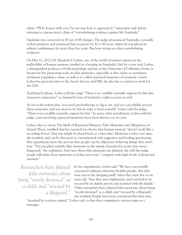client. "I'll be honest with you, I'm not sure how to approach it," Amendola said, before referring to a prosecutor's claim of "overwhelming evidence against Mr. Sandusky."

Sandusky was convicted on 45 out of 48 charges. The judge pronounced Sandusky a sexually violent predator, and sentenced him to prison for 30 to 60 years, where he was placed in solitary confinement for more than five years. But how strong was that overwhelming evidence?

On May 11, 2017, Dr. Elizabeth F. Loftus, one of the world's foremost experts on the malleability of human memory, testified at a hearing on Sandusky's bid for a new trial. Loftus, a distinguished professor of both psychology and law at the University of California, Irvine, is known for her pioneering work on false memories, especially as they relate to eyewitness testimony regarding a crime, as well as so-called repressed memories of traumatic events. Loftus has given lectures to the Secret Service and FBI; she also has a contract to work for the CIA.

Testifying by phone, Loftus told the judge "There is no credible scientific support for this idea of massive repression," as claimed by four of Sandusky's eight accusers at trial.

As far as the notion that "you need psychotherapy to dig it out, and you can reliably recover these memories, and you need to do this in order to heal yourself," Loftus told the judge, "There is no credible scientific support for this." In many other jurisdictions, Loftus told the judge, cases involving repressed memories have been thrown out of court.

Loftus, who co-wrote The Myth of Repressed Memory; False Memories and Allegations of Sexual Abuse, testified that her research has shown that human memory "doesn't work like a recording device" that can simply be played back at a later date. Memories evolve over time, she testified, and can be distorted or contaminated with suggestive and leading questioning. Her experiments have also proven that people can be talked into believing things that aren't true. "You can plant entirely false memories in the minds of people for events that never happened," she explained. And once those false memories are planted, she told the judge, people will relate those memories as if they were true, "complete with high levels of detail and emotion."

*Researchers have planted false memories about being " nearly drowned" as a child, and " rescued by a lifeguard."* In her experiments, Loftus said, "We have successfully convinced ordinary, otherwise healthy people, that they were lost in the shopping mall" when they were five or six years old, "that they were frightened, cried and had to be rescued by an elderly person and reunited with the family." Other researchers have planted false memories about being "nearly drowned" as a child, and "rescued by a lifeguard," she testified. People have been convinced that they were

"attacked by a vicious animal," Loftus said, or that they committed a serious crime as a teenager.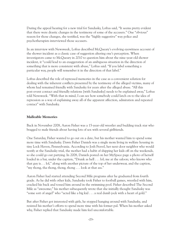During the appeal hearing for a new trial for Sandusky, Loftus said, "It seems pretty evident that there were drastic changes in the testimony of some of the accusers." One "obvious" reason for those changes, she testified, was the "highly suggestive" way police and psychotherapists interviewed those accusers.

In an interview with Newsweek, Loftus described McQueary's evolving eyewitness account of the shower incident as a classic case of suggestion altering one's perception. When investigators came to McQueary in 2010 to question him about the nine-year-old shower incident, it "could lead to an exaggeration of an ambiguous situation in the direction of something that is more consistent with abuse," Loftus said. "If you label something a particular way, people will remember it in the direction of that label."

Loftus described the role of repressed memories in the case as a convenient solution for dealing with the inherent conflicts presented by the testimony of the alleged victims, many of whom had remained friendly with Sandusky for years after the alleged abuse. "All this post-event contact and friendly relations [with Sandusky] needs to be explained away," Loftus told Newsweek. "With that in mind, I can see how somebody could latch on to the idea of repression as a way of explaining away all of the apparent affection, admiration and repeated contact" with Sandusky.

#### **Malleable Memories**

Back in November 2008, Aaron Fisher was a 15-year-old wrestler and budding track star who bragged to male friends about having lots of sex with several girlfriends.

One Saturday, Fisher wanted to go out on a date, but his mother wanted him to spend some more time with Sandusky. Dawn Fisher Daniels was a single mom living in welfare housing in tiny Lock Haven, Pennsylvania. According to Josh Fravel, her next-door neighbor who would testify at the Sandusky trial, the mother had a habit of shipping her kids off on the weekends, so she could go out partying. In 2008, Daniels posted on her MySpace page a photo of herself loaded in a bar, under the caption, "Drunk as hell . . . lol; me at the saloon; who knows who that guy is. . . lol," along with another picture of the top of her underwear, and the caption, "my thong, tha thong, thong, thong ... look at that ass."

Aaron Fisher had started attending Second Mile programs after he graduated from fourth grade. As he did with other kids, Sandusky took Fisher to football games, wrestled with him, cracked his back and tossed him around in the swimming pool. Fisher described The Second Mile as "awesome;" his mother subsequently wrote that she initially thought Sandusky was "some sort of angel" who "acted like a big kid . . . a real dumb jock with a heart of gold."

But after Fisher got interested with girls, he stopped hanging around with Sandusky, and resisted his mother's efforts to spend more time with his former pal. When his mother asked why, Fisher replied that Sandusky made him feel uncomfortable.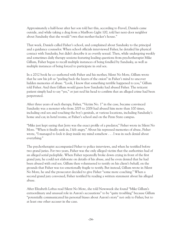Approximately a half-hour after her son told her this, according to Fravel, Daniels came outside, and while taking a drag from a Marlboro Light 100, told her next-door neighbor about Sandusky that she would "own that mother-fucker's house."

That week, Daniels called Fisher's school, and complained about Sandusky to the principal and a guidance counselor. When school officials interviewed Fisher, he detailed his physical contact with Sandusky, but didn't describe it as overtly sexual. Then, while undergoing weekly and sometimes daily therapy sessions featuring leading questions from psychotherapist Mike Gillum, Fisher began to recall multiple instances of being fondled by Sandusky, as well as multiple instances of being forced to participate in oral sex.

In a 2012 book he co-authored with Fisher and his mother, Silent No More, Gillum wrote that he saw his job as "peeling back the layers of the onion" in Fisher's mind to uncover hidden memories of abuse. "Look, I know that something terrible happened to you," Gillum told Fisher. And then Gillum would guess how Sandusky had abused Fisher. The reticent patient simply had to say "yes," or just nod his head to confirm that an alleged crime had been perpetrated.

After three years of such therapy, Fisher, "Victim No. 1" in the case, became convinced Sandusky was a monster who from 2005 to 2008 had abused him more than 100 times, including oral sex and touching the boy's genitals, at various locations, including Sandusky's home and car, in hotel rooms, at Fisher's school and on the Penn State campus.

"Mike just kept saying that Jerry was the exact profile of a predator," Fisher wrote in Silent No More. "When it finally sank in, I felt angry." About his repressed memories of abuse, Fisher wrote, "I managed to lock it deep inside my mind somehow . . . I was in such denial about everything."

The psychotherapist accompanied Fisher to police interviews, and when he testified before two grand juries. For two years, Fisher was the only alleged victim that the authorities had of an alleged serial pedophile. When Fisher repeatedly broke down crying in front of the first grand jury, he could not elaborate on details of his abuse, and he even denied that he had been abused with oral sex. Gillum then volunteered to testify on his client's behalf, on the grounds that Fisher was too emotionally fragile to testify. But instead, Gillum wrote in Silent No More, he and the prosecutor decided to give Fisher "some more coaching." When a second grand jury convened, Fisher testified by reading a written statement about his alleged abuse.

After Elizabeth Loftus read Silent No More, she told Newsweek she found "Mike Gillum's extraordinary and unusual role in Aaron's accusations" to be "quite troubling" because Gillum "potentially communicated his personal biases about Aaron's story" not only to Fisher, but to at least one other accuser in the case.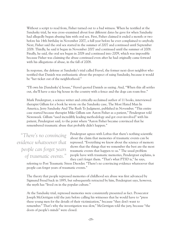Without a script to read from, Fisher turned out to a bad witness. When he testified at the Sandusky trial, he was cross-examined about four different dates he gave for when Sandusky had allegedly begun abusing him with oral sex. First, Fisher claimed it ended a month or two before his 14th birthday in November 2007, a full year before he ever complained to anybody. Next, Fisher said the oral sex started in the summer of 2007 and continued until September 2008. Thirdly, he said it began in November 2007 and continued until the summer of 2008. Finally, he said, the oral sex began in 2008 and continued into 2009, which was impossible because Fisher was claiming the abuse continued even after he had originally came forward with his allegations of abuse, in the fall of 2008.

In response, the defense at Sandusky's trial called Fravel, the former next-door neighbor who testified that Daniels was enthusiastic about the prospect of suing Sandusky, because it would be "her ticket out of the neighborhood."

"I'll own his [Sandusky's] house," Fravel quoted Daniels as saying. And, "When this all settles out, she'll have a nice big house in the country with a fence and the dogs can roam free."

Mark Pendergrast, a science writer and critically-acclaimed author of 11 books, interviewed therapist Gillum for a book he wrote on the Sandusky case, The Most Hated Man In America, Jerry Sandusky And The Rush To Judgment, published in November. "This entire case started because therapist Mike Gillum saw Aaron Fisher as a patient," Pendergrast told Newsweek. Gillum "used incredibly leading methodology and got over-involved" with his patient, Pendergrast said, to the point where "Aaron Fisher became convinced that he remembered traumatic abuse that probably didn't happen."

*"There ' s no convincing evidence whatsoever that people can forget years of traumatic events."*

Pendergrast agrees with Loftus that there's nothing scientific about the claim that memories of traumatic events can be repressed. "Everything we know about the science of memory shows that the things that we remember the best are the most traumatic events that happen to us." The usual problem people have with traumatic memories, Pendergrast explains, is they can't forget them. "That's what PTSD is," he says,

referring to Post Traumatic Stress Disorder. "There's no convincing evidence whatsoever that people can forget years of traumatic events."

The theory that people repressed memories of childhood sex abuse was first advanced by Sigmund Freud back in 1895, but subsequently retracted by him, Pendergrast says, however, the myth has "lived on in the popular culture."

At the Sandusky trial, repressed memories were consistently presented as fact. Prosecutor Joseph McGettigan told the jury before calling his witnesses that he would have to "press these young men for the details of their victimization," because "they don't want to remember." That's why the investigation was slow," McGettigan told the jury, because "the doors of people's minds" were closed.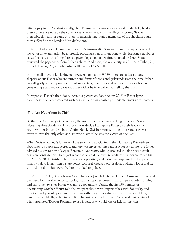After a jury found Sandusky guilty, then Pennsylvania Attorney General Linda Kelly held a press conference outside the courthouse where she said of the alleged victims, "It was incredibly difficult for some of them to unearth long-buried memories of the shocking abuse they suffered at the hands of this defendant."

In Aaron Fisher's civil case, the university's trustees didn't subject him to a deposition with a lawyer or an examination by a forensic psychiatrist, as is often done while litigating sex abuses cases. Instead, a consulting forensic psychologist and a law firm retained by Penn State reviewed the paperwork from Fisher's claim. And then, the university in 2013 paid Fisher, 24, of Lock Haven, PA, a confidential settlement of \$7.5 million.

In the small town of Lock Haven, however, population 9,459, there are at least a dozen skeptics about Fisher who are current and former friends and girlfriends from the time Fisher was allegedly abused, prominent past supporters, neighbors and well as relatives who have gone on tape and video to say that they didn't believe Fisher was telling the truth.

In response, Fisher's then-fiance posted a picture on Facebook in 2015 of Fisher lying bare-chested on a bed covered with cash while he was flashing his middle finger at the camera.

#### **'You Are Not Alone in This'**

By the time Sandusky's trial arrived, the unreliable Fisher was no longer the state's star witness against Sandusky. The prosecutors decided to replace Fisher as their lead-off with Brett Swisher-Houtz. Dubbed "Victim No. 4," Swisher-Houtz, at the time Sandusky was arrested, was the only other accuser who claimed he was the victim of a sex act.

When Swisher-Houtz's father read the story by Sara Ganim in the Harrisburg Patriot-News about how a supposedly secret grand jury was investigating Sandusky for sex abuse, the father advised his son to hire a lawyer, Benjamin Andreozzi, who specialized in taking sex assault cases on contingency. That's just what the son did. But when Andreozzi first came to see him on April 5, 2011, Swisher-Houtz wasn't cooperative, and didn't say anything had happened to him. Two days later, when a state police corporal knocked on his door, Swisher-Houtz said he wanted to talk to his lawyer before he talked to police.

On April 21, 2011, Pennsylvania State Troopers Joseph Leiter and Scott Rossman interviewed Swisher-Houtz at the police barracks, with his attorney present, and a tape recorder running, and this time, Swisher-Houtz was more cooperative. During the first 50 minutes of questioning, Swisher-Houtz told the troopers about wrestling matches with Sandusky, and how Sandusky would pin him to the floor with his genitals stuck in the boy's face. Then, Sandusky would allegedly kiss and lick the inside of the boy's legs, Swisher-Houtz claimed. That prompted Trooper Rossman to ask if Sandusky would kiss or lick his testicles.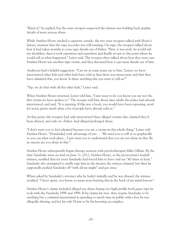"Kind of," he replied, but the state troopers suspected the witness was holding back graphic details of more serious abuse.

While Swisher-Houtz smoked a cigarette outside, the two state troopers talked with Houtz's lawyer, unaware that the tape-recorder was still running. On tape, the troopers talked about how it had taken months to coax rape details out of Fisher. "First, it was yeah, he would rub my shoulders, then it took repetition and repetition and finally we got to the point where he would tell us what happened," Leiter said. The troopers then talked about how they were sure Swisher-Houtz was another rape victim, and they discussed how to get more details out of him.

Andreozzi had a helpful suggestion: "Can we at some point say to him, 'Listen, we have interviewed other kids and other kids have told us that there was intercourse and that they have admitted this, you know. Is there anything else you want to tell us?'"

"Yep, we do that with all the other kids," Leiter said.

When Swisher-Houtz returned, Leiter told him, "I just want to let you know you are not the first victim we have spoken to." The trooper told him about nine adults the police had already interviewed, and said, "It is amazing. If this was a book, you would have been repeating, word for word, pretty much what a lot of people have already told us."

At that point, the troopers had only interviewed three alleged victims who claimed they'd been abused, and only on--Fisher--had alleged prolonged abuse.

"I don't want you to feel ashamed because you are a victim in this whole thing," Leiter told Swisher-Houtz. "[Sandusky] took advantage of you . . . We need you to tell us as graphically as you can what took place... I just want you to understand that you are not alone in this. By no means are you alone in this."

Swisher-Houtz subsequently began therapy sessions with psychotherapist Mike Gillum. By the time Sandusky went on trial on June 11, 2012, Swisher-Houtz, as the prosecution's leadoff witness, testified that for years Sandusky had forced him to have oral sex "40 times at least." Sandusky also attempted to anally rape him in the shower, the witness claimed, but then he supposedly pushed Sandusky off "with all my might" and got away.

When asked by Sandusky's attorney why he hadn't initially said he was abused, the witness testified, "I have spent, you know, so many years burying this in the back of my mind forever."

Swisher-Houtz's claims included alleged sex abuse during two high-profile bowl game trips he took with the Sandusky 1998 and 1999. If his claims his true, they require Sandusky to be anything but a criminal mastermind in spending so much time in public with a boy he was allegedly abusing, and for his wife Dottie to be his knowing accomplice.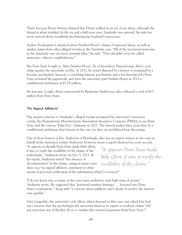That's because Houtz-Switzer claimed that Dottie walked in on act of sex abuse, although she denied it when testified. In the six and a half years since Sandusky was arrested, his wife has never waived about steadfastly proclaiming her husband's innocence.

Author Pendergrast is skeptical about Swisher-Houtz's claims of repressed abuse, as well as similar claims from other alleged victims in the Sandusky case. "All of the recovered memories in the Sandusky case are most certainly false," he said. "They shouldn't even be called memories—they're confabulations."

But Penn State bought it. After Swisher-Houtz, 24, of Snowshoe, Pennsylvania, filed a civil claim against the university on Dec. 4, 2012, he wasn't deposed by a lawyer or examined by a forensic psychiatrist. Instead, a consulting forensic psychiatrist and a law firm hired by Penn State reviewed his paperwork, and then the university paid Swisher-Houtz in 2013 a confidential settlement of \$7.25 million.

He was one of eight clients represented by Benjamin Andrerozzi, who collected a total of \$13 million from Penn State.

#### **'No Signed Affidavit'**

The massive payouts to Sandusky's alleged victims prompted the university's insurance carrier, the Pennsylvania Manufacturers Association Insurance Company [PMA], to sue Penn State and the various "John Doe" claimants in 2013. The lawsuit ended three years later in a confidential settlement that lawyers in the case say they are prohibited from discussing.

One of those lawyers is Eric Anderson of Pittsburgh, who was an expert witness in the case on behalf of the insurance carrier. Anderson, however, wrote a report disclosed in court records.

"It appears as though Penn State made little effort, if any, to verify the credibility of the claims of the individuals," Anderson wrote on Oct. 5, 2015. In his report, Anderson noted "the absence of documentation" in the claims, saying in many cases there was "no signed affidavit, statement or other

*"It appears Penn State made little effort, if any, to verify the credibility of the claims."*

means of personal verification of the information which I reviewed."

"I do not know why so many of the cases were settled for such high sums of money," Anderson wrote. He suggested that "potential punitive damages . . . factored into Penn State's evaluations," along with "a concern about publicity and a desire to resolve the matters very quickly."

Gary Langsdale, the university's risk officer, when deposed in that case, was asked if he had any concerns that the psychologist the university hired as an expert to evaluate claims "did not interview any of the first 26 or so victims who received payments from Penn State?"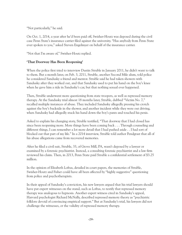"Not particularly," he said.

On Oct. 1, 2014, a year after he'd been paid off, Swisher-Houtz was deposed during the civil case Penn State's insurance carrier filed against the university. "Has anybody from Penn State ever spoken to you," asked Steven Engelmyer on behalf of the insurance carrier.

"Not that I'm aware of," Swisher-Houtz replied.

#### **'That Doorway Has Been Reopening'**

When the police first tried to interview Dustin Struble in January 2011, he didn't want to talk to them. But a month later, on Feb. 3, 2011, Struble, another Second Mile alum, told police he considered Sandusky a friend and mentor. Struble said he had taken showers with Sandusky after they worked out, and that Sandusky used to put his hand on the boy's knee when he gave him a ride in Sandusky's car, but that nothing sexual ever happened.

Then, Struble underwent more questioning from state troopers, as well as repressed memory therapy. At the Sandusky trial almost 18 months later, Struble, dubbed "Victim No. 7," recalled multiple instances of abuse. They included Sandusky allegedly pressing his crotch against the boy's backside in the shower, and another incident while they were out driving, when Sandusky had allegedly stuck his hand down the boy's pants and touched his penis.

Asked to explain his changing story, Struble testified, "That doorway that I had closed has since been reopening more. More things have been coming back . . . Through counseling and different things, I can remember a lot more detail that I had pushed aside . . I had sort of blocked out that part of my life." In a 2014 interview, Struble told author Pendgrast that all of his abuse allegations came from recovered memories.

After he filed a civil suit, Struble, 33, of Grove Mill, PA, wasn't deposed by a lawyer or examined by a forensic psychiatrist. Instead, a consulting forensic psychiatrist and a law firm reviewed his claim. Then, in 2013, Penn State paid Struble a confidential settlement of \$3.25 million.

In the opinion of Elizabeth Loftus, detailed in court papers, the memories of Struble, Swisher-Houtz and Fisher could have all been affected by "highly suggestive" questioning from police and psychotherapists.

In their appeal of Sandusky's conviction, his new lawyers argued that his trial lawyers should have put expert witnesses on the stand, such as Loftus, to testify that repressed memory therapy was analogous to hypnosis. Another expert witness cited in Sandusky's appeal, Harvard psychologist Richard McNally, described repressed memory theory as "psychiatric folklore devoid of convincing empirical support." But at Sandusky's trial, his lawyers did not challenge the witnesses, or the validity of repressed memory therapy.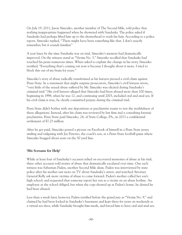On July 19, 2011, Jason Simcisko, another member of The Second Mile, told police that nothing inappropriate happened when he showered with Sandusky. The police asked if Sandusky had perhaps lifted him up to the showerhead to wash his hair. According to a police report, Simcisko replied, "There might have been something like that. I don't exactly remember, but it sounds familiar."

A year later, by the time Sandusky was on trial, Simcisko's memory had dramatically improved. On the witness stand as "Victim No. 3," Simcisko recalled that Sandusky had touched his penis numerous times. When asked to explain the change in his story, Simcisko testified, "Everything that's coming out now is because I thought about it more. I tried to block this out of my brain for years."

Simcisko's story of abuse radically transformed as his lawyers pressed a civil claim against Penn State. In a statement that might surprise prosecutors, Simcisko's civil lawyers wrote, "very little of the sexual abuse suffered by Mr. Simcisko was elicited during Sandusky's criminal trial." His civil lawyers alleged that Simcisko had been abused more than 100 times, beginning in 1998, when he was 12, and continuing until 2003, included oral and anal sex. If his civil claim is true, he clearly committed perjury during the criminal trial.

Penn State didn't bother with any depositions or psychiatrist exams to test the truthfulness of these allegations. Instead, after his claim was reviewed by law firm and a consulting forensic psychiatrist, Penn State paid Simcisko, 24, of State College, PA., in 2013 a confidential settlement of \$7.25 million.

After he got paid, Simcisko posted a picture on Facebook of himself in a Penn State jersey smiling and tailgating with Jay Paterno, the coach's son, at a Penn State football game where Simcisko bragged about seats on the 50 yard line.

#### **'His Screams for Help'**

While at least four of Sandusky's accusers relied on recovered memories of abuse at his trial, three other accusers told stories of abuse that dramatically escalated over time. One such witness was Sabastian Paden, another Second Mile alum. Paden was interviewed by state police after his mother saw news on TV about Sandusky's arrest, and watched Attorney General Kelly ask more victims of abuse to come forward. Paden's mother called her son's high school, and requested that someone report her son as a victim on an abuse hotline. An employee at the school obliged, but when the cops showed up at Paden's home, he denied he had been abused.

Less than a week later, however, Paden testified before the grand jury as "Victim No. 9," and claimed he had been locked in Sandusky's basement and kept there for years on weekends as a virtual sex slave, while Sandusky brought him meals, and forced him to have oral and anal sex.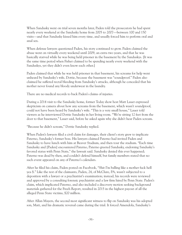When Sandusky went on trial seven months later, Paden told the prosecutors he had spent nearly every weekend at the Sandusky home from 2005 to 2007—between 100 and 150 visits—and that Sandusky kissed him every time, and usually forced him to perform oral and anal sex.

When defense lawyers questioned Paden, his story continued to grow. Paden claimed the abuse went on virtually every weekend until 2009, an extra two years, and that he was basically starved while he was being held prisoner in the basement by the Sanduskys. [It was the same time period when Fisher claimed to be spending nearly every weekend with the Sanduskys, yet they didn't even know each other.]

Paden claimed that while he was held prisoner in that basement, his screams for help went unheard by Sandusky's wife, Dottie, because the basement was "soundproof." Paden also claimed he suffered rectal bleeding from Sandusky's attacks, although he conceded that his mother never found any bloody underwear in the laundry.

There are no medical records to back Paden's claims of injuries.

During a 2014 visit to the Sandusky home, former Today show host Matt Lauer expressed skepticism on camera about how any screams from the basement, which wasn't soundproof, could not have been heard by Sandusky's wife. "This is a very small house," Lauer told viewers as he interviewed Dottie Sandusky in her living room. "We're sitting 12 feet from the door to that basement," Lauer said, before he asked again why she didn't hear Paden scream.

"Because he didn't scream," Dottie Sandusky replied.

When Paden's lawyers filed a civil claim for damages, their client's story grew to implicate Paterno, Sandusky's former boss. His lawyers claimed Paterno had invited Paden and Sandusky to have lunch with him at Beaver Stadium, and then tour the stadium. "Each time Sandusky and [Paden] encountered Paterno, Paterno greeted Sandusky, endorsing Sandusky's favored status with Penn State," the lawsuit said. Sandusky denied this ever happened; Paterno was dead by then, and couldn't defend himself, but family members stated that no such event appeared on any of Paterno's calendars.

After he filed his claim, Paden posted on Facebook, "Shit I'm balling like a mother fuck hell yea \$." Like the rest of the claimants, Paden, 24, of McClure, PA, wasn't subjected to a deposition with a lawyer or a psychiatrist's examination; instead, his records were reviewed and approved by a consulting forensic psychiatrist and a law firm hired by Penn State. Paden's claim, which implicated Paterno, and also included a discovery motion seeking background materials gathered for the Freeh Report, resulted in 2015 in the highest payout of all the alleged Penn State victims, \$20 million.

After Allan Mayers, the second most significant witness to flip on Sandusky was his adopted son, Matt, and his dramatic reversal came during the trial. It forced Amendola, Sandusky's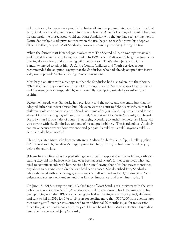defense lawyer, to renege on a promise he had made in his opening statement to the jury, that Jerry Sandusky would take the stand in his own defense. Amendola changed his mind because he was afraid the prosecution would call Matt Sandusky, who the jury had seen sitting next to Dottie Sandusky, his adoptive mother, when the trial began, to testify against his adoptive father. Neither Jerry nor Matt Sandusky, however, wound up testifying during the trial.

When the former Matt Heichel got involved with The Second Mile, he was eight years old and he and his family were living in a trailer. In 1994, when Matt was 16, he got in trouble for burning down a barn, and was facing jail time for arson. That's when Jerry and Dottie Sandusky offered to adopt him. A Centre County Children and Youth Services report recommended the adoption, saying that the Sanduskys, who had already adopted five foster kids, would provide "a stable, loving home environment."

Matt began an affair with a teenage mother the Sanduskys had also taken into their home. When the Sanduskys found out, they told the couple to stop. Matt, who was 17 at the time, and the teenage mom responded by unsuccessfully attempting suicide by overdosing on aspirin.

Before he flipped, Matt Sandusky had previously told the police and the grand jury that his adopted father had never abused him. He even went to court to fight his ex-wife, so that his children could continue to visit the Sandusky home after Jerry Sandusky was arrested for sex abuse. On the opening day of Sandusky's trial, Matt sat next to Dottie Sandusky and heard Brett Swisher-Houtz's tales of abuse. That night, according to author Pendergrast, Matt, who was staying with the Sanduskys, told one of his adopted siblings, "This is ridiculous. Anybody can make accusations without evidence and get paid. I could, you could, anyone could . . . But I actually have morals."

Three days later, Matt, who became attorney Andrew Shubin's client, flipped, telling police he'd been abused by Sandusky's inappropriate touching. If true, he had committed perjury before the grand jury.

[Meanwhile, all five of his adopted siblings continued to support their foster father; with each stating they did not believe Matt had ever been abused. Matt's former teen lover, who had tried to commit suicide with him, wrote a long email saying that Matt had never mentioned any abuse to her, and she didn't believe he'd been abused. She described Jerry Sandusky, whom she lived with as a teenager, as having a "childlike mind and soul," adding that "our culture and society don't understand that kind of 'innocence' and playfulness today."]

On June 15, 2012, during the trial, a leaked tape of Matt Sandusky's interview with the state police was broadcast on NBC. [Amendola accused his co-counsel, Karl Rominger, who had been partying with the NBC crew, of being the leaker. Rominger was subsequently disbarred and sent to jail in 2016 for 5  $\frac{1}{2}$  to 18 years for stealing more than \$767,000 from clients; later that same year Rominger was sentenced to an additional 20 months in jail for tax evasion.] Since the jury was not sequestered, they could have heard about Matt's defection. Eight days later, the jury convicted Jerry Sandusky.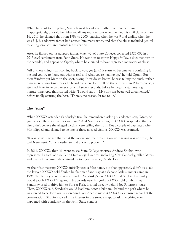When he went to the police, Matt claimed his adopted father had touched him inappropriately, but said he didn't recall any oral sex. But when he filed his civil claim on Jan. 16, 2013, he claimed that from 1988 to 2000 [starting when he was 9 and ending when he was 21], his adoptive father had abused him many times, and that the abuse included genital touching, oral sex, and mutual masturbation.

After he flipped on his adopted father, Matt, 40, of State College, collected \$325,000 in a 2013 civil settlement from Penn State. He went on to star in Happy Valley, a documentary on the scandal, and appear on Oprah, where he claimed to have repressed memories of abuse.

"All of these things start coming back to you, yes (and) it starts to become very confusing for me and you try to figure out what is real and what you're making up," he told Oprah. But then Winfrey put Matt on the spot, asking "how do we know" he was telling the truth, rather than merely parroting stories he heard Swisher-Houtz tell on the witness stand? In response, a stunned Matt froze on camera for a full seven seconds, before he began a stammering minute-long reply that started with: "I would say . . . My story has been well documented," before finally assuring the host, "There is no reason for me to lie."

#### **The "Sting"**

When XXXXX attended Sandusky's trial, he remembered asking his adopted son, "Matt, do you believe these individuals are liars?" And Matt, according to XXXXX, responded that he also didn't believe the alleged victims were telling the truth. But a couple of days later, when Matt flipped and claimed to be one of those alleged victims, XXXXX was stunned.

"It was obvious to me that what the media and the prosecution were saying was not true," he told Newsweek. "I just needed to find a way to prove it."

In 2014, XXXXX, then 31, went to see State College attorney Andrew Shubin, who represented a total of nine Penn State alleged victims, including Matt Sandusky, Allan Myers, and the 1971 accuser who claimed he told Joe Paterno, Randy Tice.

At their first meeting, XXXXX initially used a false name, but that apparently didn't dissuade the lawyer. XXXXX told Shubin he first met Sandusky at a Second Mile summer camp in 1996. While they were driving around in Sandusky's car, XXXXX told Shubin, Sandusky would touch XXXXX's leg and rub upwards near his groin. XXXXX told Shubin that Sandusky used to drive him to Sunset Park, located directly behind Joe Paterno's house. Then, XXXXX said, Sandusky would lead him down a bike trail behind the park where he was forced to perform oral sex on Sandusky. According to XXXXXX's extensive record of the conversation, Shubin showed little interest in the story, except to ask if anything ever happened with Sandusky on the Penn State campus.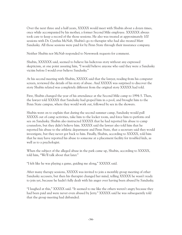Over the next three and a half years, XXXXX would meet with Shubin about a dozen times, once while accompanied by his mother, a former Second Mile employee. XXXXXX always took care to keep a record of the those sessions. He also was treated at approximately 100 sessions with Dr. Cynthia McNab, Shubin's go-to therapist who had also treated Matt Sandusky. All those sessions were paid for by Penn State through their insurance company.

Neither Shubin nor McNab responded to Newsweek requests for comment.

Shubin, XXXXXX said, seemed to believe his ludicrous story without any expressed skepticism, at one point assuring him, "I would believe anyone who said they were a Sandusky victim before I would ever believe Sandusky."

At his second meeting with Shubin, XXXXX said that the lawyer, reading from his computer screen, reviewed the details of his story of abuse. And XXXXX was surprised to discover the story Shubin related was completely different from the original story XXXXX had told.

First, Shubin changed the year of his attendance at the Second Mile camp to 1994-5. Then, the lawyer told XXXXX that Sandusky had groped him in a pool, and brought him to the Penn State campus, where they would work out, followed by sex in the showers.

Shubin went on to explain that during the second summer camp, Sandusky would pull XXXXX out of camp activities, take him to the locker room, and force him to perform oral sex on Sandusky. Shubin also instructed XXXXX that he had reported his abuse to camp counselors, but they didn't believe him. XXXXX said the lawyer also told him that he reported his abuse to the athletic department and Penn State, that a secretary said they would investigate, but they never got back to him. Finally, Shubin, according to XXXXX, told him that he may have reported his abuse to someone at a placement facility for troubled kids, as well as to a psychologist.

When the subject of the alleged abuse in the park came up, Shubin, according to XXXXX, told him, "We'll talk about that later."

"I felt like he was playing a game, guiding me along," XXXXX said.

After many therapy sessions, XXXXX was invited to join a monthly group meeting of other Sandusky accusers, but then his therapist changed her mind, telling XXXXX he wasn't ready to join yet, because he hadn't fully dealt with his anger over having been abused by Sandusky.

"I laughed at this," XXXXX said. "It seemed to me like the others weren't angry because they had been paid and were never even abused by Jerry." XXXXX said he was subsequently told that the group meeting had disbanded.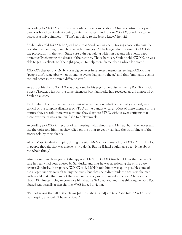According to XXXXX's extensive records of their conversations, Shubin's entire theory of the case was based on Sandusky being a criminal mastermind. But to XXXXX, Sandusky came across as a naive simpleton. "That's not close to the Jerry I knew," he said.

Shubin also told XXXXX he "just knew that Sandusky was perpetrating abuse, otherwise he wouldn't be spending so much time with these boys." The lawyer also informed XXXXX that the prosecutors in the Penn State case didn't get along with him because his clients kept dramatically changing the details of their stories. That's because, Shubin told XXXXX, he was able to get his clients to "the right people" to help them "remember a whole lot more."

XXXXX's therapist, McNab, was a big believer in repressed memories, telling XXXXX that "people don't remember when traumatic events happen to them," and that "traumatic events are laid down in the brain a different way."

As part of his claim, XXXXX was diagnosed by his psychotherapist as having Post Traumatic Stress Disorder. This was the same diagnosis Matt Sandusky had received, as did almost all of Shubin's clients.

Dr. Elizabeth Loftus, the memory expert who testified on behalf of Sandusky's appeal, was critical of the rampant diagnoses of PTSD in the Sandusky case. "Most of these therapists, the minute they are told there was a trauma they diagnose PTSD, without ever verifying that there ever really was a trauma," she told Newsweek.

According to XXXXX's records of his meetings with Shubin and McNab, both the lawyer and the therapist told him that they relied on the other to vet or validate the truthfulness of the stories told by their clients.

About Matt Sandusky flipping during the trial, McNab volunteered to XXXXX, "I think a lot of people thought that was a little fishy. I don't. But he [Matt] could have been lying about the whole thing."

After more than three years of therapy with McNab, XXXXX finally told her that he wasn't sure he really had been abused by Sandusky, and that he was questioning the entire case against Sandusky. In response, XXXXX said, McNab told him it was quite possible some of the alleged victims weren't telling the truth, but that she didn't think the accusers she met with would make that kind of thing up, unless they were tremendous actors. She also spent about 30 minutes trying to convince him that he WAS abused and that thinking he was NOT abused was actually a sign that he WAS indeed a victim.

"I'm not saying that all of the claims [of those she treated] are true," she told XXXXX, who was keeping a record. "I have no idea."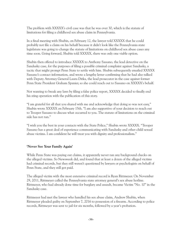The problem with XXXXX's civil case was that he was over 30, which is the statute of limitations for filing a childhood sex abuse claim in Pennsylvania.

In a final meeting with Shubin, on February 12, the lawyer told XXXXX that he could probably not file a claim on his behalf because it didn't look like the Pennsylvania state legislature was going to change the statute of limitations on childhood sex abuse cases any time soon. Going forward, Shubin told XXXXX, there was only one viable option.

Shubin then offered to introduce XXXXX to Anthony Sassano, the lead detective on the Sandusky case, for the purposes of filing a possible criminal complaint against Sandusky, a tactic that might prompt Penn State to settle with him. Shubin subsequently emailed XXXXX Sassano's contact information, and wrote a lengthy letter confirming that he had also talked with Deputy Attorney General Laura Ditka, the lead prosecutor in the case against former Penn State President Graham Spanier, so she could reach out to Sassano on XXXXX's behalf.

Not wanting to break any laws by filing a false police report, XXXXX decided to finally end his sting operation with the publication of this story.

"I am grateful for all that you shared with me and acknowledge that doing so was not easy," Shubin wrote XXXXX on February 15th. "I am also supportive of your decision to reach out to Trooper Sassano to discuss what occurred to you. The statute of limitations on the criminal side has not run."

"I wish you the best in your contacts with the State Police," Shubin wrote XXXXX. "Trooper Sassano has a great deal of experience communicating with Sandusky and other child sexual abuse victims. I am confident he will treat you with dignity and professionalism."

#### **'Never See Your Family Again'**

While Penn State was paying out claims, it apparently never ran any background checks on the alleged victims. So Newsweek did, and found that at least a dozen of the alleged victims had criminal records, but they still weren't questioned by lawyers or psychologists on behalf of Penn State, and they still got paid.

The alleged victim with the most extensive criminal record is Ryan Rittmeyer. On November 29, 2011, Rittmeyer called the Pennsylvania state attorney general's sex abuse hotline. Rittmeyer, who had already done time for burglary and assault, became Victim "No. 10" in the Sandusky case.

Rittmeyer had met the lawyer who handled his sex abuse claim, Andrew Shubin, when Rittmeyer pleaded guilty on September 7, 2016 to possession of a firearm. According to police records, Rittmeyer was sent to jail for six months, followed by a year's probation.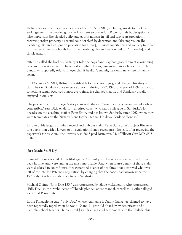Rittmeyer's rap sheet features 17 arrests from 2005 to 2016, including arrests for reckless endangerment [he pleaded guilty and was sent to prison for 60 days], theft by deception and false impression [he pleaded guilty and got six months in jail and two years probation], receiving stolen property, a second count of theft by deception and false impression [he pleaded guilty and was put on probation for a year], criminal solicitation and robbery to inflict or threaten immediate bodily harm [he pleaded guilty and went to jail for 21 months], and simple assault.

After he called the hotline, Rittmeyer told the cops Sandusky had groped him at a swimming pool and then attempted to have oral sex while driving him around in a silver convertible. Sandusky supposedly told Rittmeyer that if he didn't submit, he would never see his family again.

On December 5, 2011, Rittmeyer testified before the grand jury, and changed his story to claim he saw Sandusky once or twice a month during 1997, 1998, and part of 1999, and that something sexual occurred almost every time. He claimed that he and Sandusky usually engaged in oral sex.

The problems with Rittmeyer's story start with the car. "Jerry Sandusky never owned a silver convertible," says Dick Anderson, a retired coach who was a colleague of Sandusky's for decades on the coaching staff at Penn State, and has known Sandusky since 1962, when they were teammates on the Nittany Lions football team. "He drove Fords or Hondas."

In spite of his lengthy criminal record and dubious claim, Penn State didn't subject Rittmeyer to a deposition with a lawyer, or an evaluation from a psychiatrist. Instead, after reviewing the paperwork for his claim, the university in 2013 paid Rittmeyer, 24, of Ellicott City, MD, \$5.5 million.

#### **'Just Made Stuff Up'**

Some of the newer civil claims filed against Sandusky and Penn State reached the furthest back in time, and were among the most improbable. And when sparse details of those claims were disclosed in court filings, they generated a series of headlines that destroyed what was left of the late Joe Paterno's reputation, by charging that the coach had known since the 1970s about other sex abuse victims of Sandusky.

Michael Quinn, "John Doe 150," was represented by Slade McLaughlin, who represented "Billy Doe" in the Archdiocese of Philadelphia sex abuse scandal, as well as 11 other alleged victims at Penn State.

In the Philadelphia case, "Billy Doe," whose real name is Danny Gallagher, claimed to have been repeatedly raped when he was a 10 and 11-year-old altar boy by two priests and a Catholic school teacher. He collected \$5 million in a civil settlement with the Philadelphia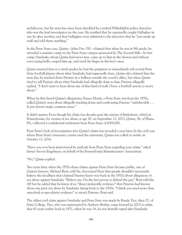archdiocese, but his story has since been shredded by a retired Philadelphia police detective who was the lead investigator on the case. He testified that he repeatedly caught Gallagher in one lie after another, and that Gallagher even admitted to the detective that he "just made up stuff and told them anything."

In the Penn State case, Quinn—John Doe 150—claimed that when he was in 9th grade, he attended a summer camp on the Penn State campus sponsored by The Second Mile. At that camp, Sandusky, whom Quinn had never met, came up to him in the shower and without even saying hello, soaped him up, and stuck his finger in the boy's anus.

Quinn asserted that as a ninth grader, he had the gumption to immediately tell several Penn State football players about what Sandusky had supposedly done. Quinn also claimed that the next day, he tracked down Paterno in a hallway outside the coach's office, but when Quinn tried to tell Paterno about what Sandusky had allegedly done to him, Paterno allegedly replied, "I don't want to hear about any of that kind of stuff, I have a football season to worry about."

When he first heard Quinn's allegations, Franco Harris, a Penn State star from the 1970s, called Quinn's story about allegedly tracking down and confronting Paterno "unbelievable . . . It just doesn't make common sense."

It didn't matter. Even though his claim was decades past the statute of limitations, which in Pennsylvania, for victims of sex abuse, is age 30, on September 12, 2013, Quinn, 56, of Plains, PA, collected a confidential settlement from Penn State of \$300,000.

Penn State's lack of investigation into Quinn's claim was revealed a year later. In the civil case where Penn State's insurance carrier sued the university, Quinn was called to testify on October 13, 2014.

"Have you ever been interviewed by anybody from Penn State regarding your claim," asked lawyer Steven Engelmyer, on behalf of the Pennsylvania Manufacturers' Association.

"No," Quinn replied.

Two years later, when the 1970s abuse claims against Penn State became public, one of Quinn's lawyers, Michael Boni, told the Associated Press that people shouldn't necessarily believe the headlines that claimed Paterno knew way back in the 1970s about allegations of sex abuse against Sandusky. "Believe me, I'm the last person to defend the guy," Boni told the AP, but he added that he knew of no "direct irrefutable evidence" that Paterno had known about any prior sex abuse by Sandusky dating back to the 1970s. "I think you need more than anecdotal or speculative evidence" to attack Paterno, Boni said.

The oldest civil claim against Sandusky and Penn State was made by Randy Tice, then 57, of State College. Tice, who was represented by Andrew Shubin, came forward in 2013 to claim that 42 years earlier, back in 1971, when he was 16, he was brutally raped after Sandusky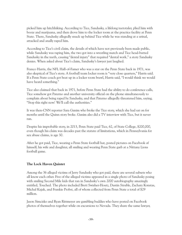picked him up hitchhiking. According to Tice, Sandusky, a lifelong teetotaler, plied him with booze and marijuana, and then drove him to the locker room at the practice facility at Penn State. There, Sandusky allegedly snuck up behind Tice while he was standing at a urinal, attacked and anally raped him.

According to Tice's civil claim, the details of which have not previously been made public, while Sandusky was raping him, the two got into a wrestling match and Tice head-butted Sandusky in the teeth, causing "dental injury" that required "dental work," a story Sandusky denies. When asked about Tice's claim, Sandusky's lawyer just laughed.

Franco Harris, the NFL Hall-of-Famer who was a star on the Penn State back in 1971, was also skeptical of Tice's story. A football team locker room is "very close quarters," Harris said. If a Penn State coach got beat up in a locker room brawl, Harris said, "I would think we would have heard something."

Tice also claimed that back in 1971, before Penn State had the ability to do conference calls, Tice somehow got Paterno and another university official on the phone simultaneously to complain about being raped by Sandusky, and that Paterno allegedly threatened him, saying, "Stop this right now! We'll call the authorities."

It was then-CNN reporter Sara Ganim who broke the Tice story, which she had sat on for months until the Quinn story broke. Ganim also did a TV interview with Tice, but it never ran.

Despite his improbable story, in 2013, Penn State paid Tice, 62, of State College, \$200,000, even though his claim was decades past the statute of limitations, which in Pennsylvania for sex abuse claims, is age 30.

After he got paid, Tice, wearing a Penn State football hat, posted pictures on Facebook of himself, his wife and daughter, all smiling and wearing Penn State garb at a Nittany Lions football game.

#### **The Lock Haven Quintet**

Among the 36 alleged victims of Jerry Sandusky who got paid, there are several subsets who all know each other. Five of the alleged victims appeared in a single photo of Sandusky posing with smiling Second Mile kids that ran in Sandusky's own 2000 autobiography amazingly entitled, Touched. The photo included Brett Swisher-Houtz, Dustin Struble, Zachary Konstas, Michal Kajak, and Frankie Probst, all of whom collected from Penn State a total of \$29 million.

Jason Simcisko and Ryan Rittmeyer are gambling buddies who have posted on Facebook photos of themselves together while on excursions to Nevada. They share the same lawyer,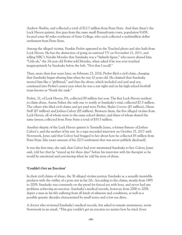Andrew Shubin, and collected a total of \$12.7 million from Penn State. And then there's the Lock Haven quintet, five guys from the same small Pennsylvania town, population 9,459, located some 40 miles northeast of State College, who each collected a multimillion dollar settlement from Penn State.

Among the alleged victims, Frankie Probst appeared in the Touched photo and also hails from Lock Haven. He has the distinction of going on national TV on November 21, 2011, and telling NBC's Natalie Morales that Sandusky was a "fatherly figure," who never abused him. "Unh-uh," the 24-year-old Probst told Morales, when asked if he was ever touched inappropriately by Sandusky below the belt. "Not that I recall."

Then, more than four years later, on February 23, 2016, Probst filed a civil claim, charging that Sandusky began abusing him when he was 10 years old. He claimed that Sandusky treated him like a "girlfriend," and that the abuse, which included oral and anal sex, continued into Probst's senior year when he was a star tight end on his high school football team known as "Frank the tank."

Probst, 31, of Lock Haven, PA, collected \$9 million last year. The first Lock Haven resident to claim abuse, Aaron Fisher, the only one to testify at Sandusky's trial, collected \$7.5 million. The others who filed civil claims and got paid were Probst, Skyler Coover (\$7 million), Glenn Neff (\$7 million) and Joshua Culver (\$5 million). Between them, the five alleged victims from Lock Haven, all of whom went to the same school district, and three of whom shared the same lawyer, collected from Penn State a total of \$35.5 million.

Another skeptic of the Lock Haven quintet is Tennielle Jones, a former fiancee of Joshua Culver's, and the mother of his son. In a tape-recorded interview on October 25, 2017 with Newsweek, Jones said that Culver had bragged to her about how he collected \$5 million from Penn State [the exact amount of his 2013 settlement that was never publicly disclosed].

It was the first time, she said, that Culver had ever mentioned Sandusky to her. Culver, Jones said, told her that he "stayed up for three days" before his interview with his therapist so he would be emotional and convincing when he told his story of abuse.

#### **'Couldn't Get an Erection'**

In their civil claims of abuse, the 36 alleged victims portray Sandusky as a sexually insatiable predator with the virility of a porn star in his 20s. According to the claims, mostly from 1995 to 2009, Sandusky was constantly on the prowl for forced sex with boys, and never had any problems achieving an erection. Sandusky's medical records, however, from 2006 to 2008, depict a man in his 60s suffering from all kinds of ailments and conditions, as well as a possible genetic disorder characterized by small testes and a low sex drive.

A doctor who reviewed Sandusky's medical records, but asked to remain anonymous, wrote Newsweek in an email, "This guy couldn't get an erection no matter how he tried. Even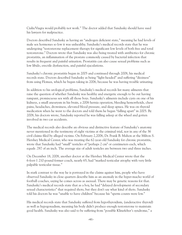Cialis/Viagra would probably not work." The doctor added that Sandusky should have sued his lawyers for malpractice.

Doctors described Sandusky as having an "androgen deficient state," meaning he had levels of male sex hormones so low it was unhealthy. Sandusky's medical records state that he was undergoing "testosterone replacement therapy for significant low levels of both free and total testosterone." Doctors wrote that Sandusky was also being treated with antibiotics for chronic prostatitis, an inflammation of the prostate commonly caused by bacterial infection that results in frequent and painful urination. Prostatitis can also cause sexual problems such as low libido, erectile dysfunction, and painful ejaculations.

Sandusky's chronic prostatitis began in 2005 and continued through 2008, his medical records state. Doctors described Sandusky as being "light-headed" and suffering "dizziness" from using Flomax, which he began taking in 2006, because he was having trouble urinating.

In addition to his urological problems, Sandusky's medical records list many ailments that raise the question of whether Sandusky was healthy and energetic enough to be out having rampant, promiscuous sex with all those boys. Sandusky's ailments include cysts on one of his kidneys, a small aneurysm in his brain, a 2006 hernia operation, bleeding hemorrhoids, chest pains, headaches, drowsiness, elevated blood pressure, and sleep apnea. He was on thyroid medication when he went to the doctors and told them he began "falling apart" in 2005. By 2008, his doctors wrote, Sandusky reported he was falling asleep at the wheel and gotten involved in two car accidents.

The medical records also describe an obvious and distinctive feature of Sandusky's anatomy never mentioned in the testimony of eight victims at the criminal trial, nor in any of the 36 civil claims filed by alleged victims. On February 2,2006, Dr. Frank B. Mahon at the Milton S. Hershey Medical Center, who was treating the 62-year-old Sandusky for chronic prostatitis, wrote that Sandusky had "small" testicles of "perhaps 2 cm" or centimeters each, which equals .787 of an inch. The average size of adult testicles are between two and three inches.

On December 18, 2008, another doctor at the Hershey Medical Center wrote that the 6-foot-1 210-pound former coach, nearly 65, had "marked testicular atrophy with very little palpable testicular tissue."

In stark contrast to the way he is portrayed in the claims against him, people who have observed Sandusky in close quarters describe him as an anomaly in the hyper-macho world of football coaches, saying he comes across as asexual. There may be genetic reasons for that. Sandusky's medical records state that as a boy, he had "delayed development of secondary sexual characteristics" that required shots, but they don't say what kind of shots. Sandusky told his doctors he was "unable to have children" because his "sperm counts were low."

His medical records state that Sandusky suffered from hypothyroidism, (underactive thyroid) as well as hypogonadism, meaning his body didn't produce enough testosterone to maintain good health. Sandusky was also said to be suffering from "possible Klinefelter's syndrome," a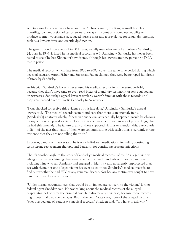genetic disorder where males have an extra X chromosome, resulting in small testicles, infertility, low production of testosterone, a low sperm count or a complete inability to produce sperm, hypogonadism, reduced muscle mass and a prevalence for sexual dysfunction, such as a low sex drive and erectile dysfunction.

The genetic condition affects 1 in 500 males, usually men who are tall at puberty. Sandusky, 74, born in 1944, is listed in his medical records as 6-1. Amazingly, Sandusky has never been tested to see if he has Klinefelter's syndrome, although his lawyers are now pursuing a DNA test in prison.

The medical records, which date from 2006 to 2008, cover the same time period during which key trial accusers Aaron Fisher and Sabastian Paden claimed they were being raped hundreds of times by Sandusky.

At his trial, Sandusky's lawyers never used his medical records in his defense, probably because they didn't have time to even read boxes of grand jury testimony, or serve subpoenas on witnesses. Sandusky's appeal lawyers similarly weren't familiar with those records until they were turned over by Dottie Sandusky to Newsweek.

"I was shocked to receive this evidence at this late date," Al Lindsay, Sandusky's appeal lawyer, said. "The medical records seem to indicate that there is an anomaly in his [Sandusky's] anatomy which, if these various sexual acts actually happened, would be obvious to any of these supposed victims. None of this ever was mentioned in any of proceedings, that he had this anomaly. The failure of any of these supposed victims to mention this, particularly in light of the fact that many of them were communicating with each other, is certainly strong evidence that they are not telling the truth."

In prison, Sandusky's lawyer said, he is on a half-dozen medications, including continuing testosterone replacement therapy, and Terazosin for continuing prostate infections.

There's another angle to the story of Sandusky's medical records--of the 36 alleged victims who got paid after claiming they were raped and abused hundreds of times by Sandusky, including nine who say Sandusky had engaged in high-risk and apparently unprotected anal sex with them, not one alleged victim has ever asked to see Sandusky's medical records, to find out whether he had HIV or any venereal disease. Nor has any victim ever sought to have Sandusky tested for any diseases.

"Under normal circumstances, that would be an immediate concern to the victim," former federal agent Snedden said. He was talking about the medical records of the alleged perpetrator, not only for the criminal case, but also for any civil case, because those records might potentially up the damages. But in the Penn State case, none of the alleged victims "ever pursued any of Sandusky's medical records," Snedden said. "You have to ask why."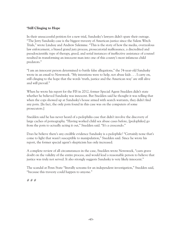#### **'Still Clinging to Hope**

In their unsuccessful petition for a new trial, Sandusky's lawyers didn't spare their outrage. "The Jerry Sandusky case is the biggest travesty of American justice since the Salem Witch Trials," wrote Lindsay and Andrew Salemme. "This is the story of how the media, overzealous law enforcement, a biased grand jury process, prosecutorial malfeasance, a discredited and pseudoscientific type of therapy, greed, and serial instances of ineffective assistance of counsel resulted in transforming an innocent man into one of this county's most infamous child predators."

"I am an innocent person determined to battle false allegations," the 74-year-old Sandusky wrote in an email to Newsweek. "My intentions were to help, not abuse kids . . . I carry on, still clinging to the hope that the words 'truth, justice and the American way' are still alive and will prevail."

When he wrote his report for the FIS in 2012, former Special Agent Snedden didn't state whether he believed Sandusky was innocent. But Snedden said he thought it was telling that when the cops showed up at Sandusky's house armed with search warrants, they didn't find any porn. [In fact, the only porn found in this case was on the computers of some prosecutors.]

Snedden said he has never heard of a pedophilia case that didn't involve the discovery of large caches of pornography. "Having worked child sex abuse cases before, [pedophiles] go from the porn to actually acting it out," Snedden said. "It's a crescendo."

Does he believe there's any credible evidence Sandusky is a pedophile? "Certainly none that's come to light that wasn't susceptible to manipulation," Snedden said. Since he wrote his report, the former special agent's skepticism has only increased.

A complete review of all circumstances in the case, Snedden wrote Newsweek, "casts grave doubt on the validity of the entire process, and would lead a reasonable person to believe that justice was truly not served. It also strongly suggests Sandusky is very likely innocent."

The scandal at Penn State "literally screams for an independent investigation," Snedden said, "because this travesty could happen to anyone."

# # #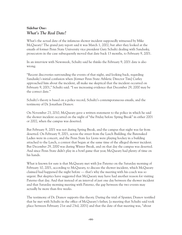#### **Sidebar One:** *What's The Real Date?*

What's the actual date of the infamous shower incident supposedly witnessed by Mike McQueary? The grand jury report said it was March 1, 2002, but after they looked at the emails of former Penn State University vice president Gary Schultz dealing with Sandusky, prosecutors in the case subsequently moved that date back 13 months, to February 9, 2001.

In an interview with Newsweek, Schultz said he thinks the February 9, 2001 date is also wrong.

"Recent discoveries surrounding the events of that night, and looking back, regarding Sandusky's initial confusion when [former Penn State Athletic Director Tim] Curley approached him about the incident, all make me skeptical that the incident occurred on February 9, 2001," Schultz said. "I see increasing evidence that December 29, 2000 may be the correct date."

Schultz's theory is based on a police record, Schultz's contemporaneous emails, and the testimony of Dr. Jonathan Dranov.

On November 23, 2010, McQueary gave a written statement to the police in which he said the shower incident occurred on the night of "the Friday before Spring Break" in either 2001 or 2002, when the campus was deserted.

But February 9, 2001 was not during Spring Break, and the campus that night was far from deserted. On February 9, 2001, across the street from the Lasch Building, the Barenaked Ladies were in concert, and the Penn State Ice Lions were playing hockey in a building attached to the Lasch, a contest that began at the same time of the alleged shower incident. But December 29, 2000 was during Winter Break, and on that day the campus was deserted. And since Penn State didn't play in a bowl game that year, McQueary had plenty of time on his hands.

What is known for sure is that McQueary met with Joe Paterno on the Saturday morning of February 10, 2001, according to McQueary, to discuss the shower incident, which McQueary claimed had happened the night before — that's why the meeting with his coach was so urgent. But skeptics have suggested that McQueary may have had another reason for visiting Paterno that day. And that instead of an interval of just one day between the shower incident and that Saturday morning meeting with Paterno, the gap between the two events may actually be more than five weeks.

The testimony of Dr. Dranov supports this theory. During the trial of Spanier, Dranov testified that he met with Schultz in the office of McQueary's father, [a meeting that Schultz said took place between February 21st and 23rd, 2001] and that the date of that meeting was, "about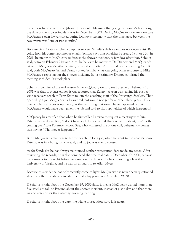three months or so after the [shower] incident." Meaning that going by Dranov's testimony, the date of the shower incident was in December, 2000. During McQueary's defamation case, McQueary's own lawyer stated during Dranov's testimony that the time lapse between the two events was "one or two months."

Because Penn State switched computer servers, Schultz's daily calendars no longer exist. But going from his contemporaneous emails, Schultz says that on either February 19th or 20th in 2001, he met with McQueary to discuss the shower incident. A few days after that, Schultz said, between February 21st and 23rd, he believes he met with Dr. Dranov and McQueary's father in McQueary's father's office, on another matter. At the end of that meeting, Schultz said, both McQueary Sr. and Dranov asked Schultz what was going on in response to Mike McQueary's report about the shower incident. In his testimony, Dranov confirmed the meeting with Schultz took place.

Schultz is convinced the real reason Mike McQueary went to see Paterno on February 10, 2001 was that two days earlier, it was reported that Kenny Jackson was leaving his post as wide receivers coach at Penn State to join the coaching staff of the Pittsburgh Steelers. That opened up a job McQueary badly wanted, but would not get for another three years. [This puts a hole in any cover up theory, as the first thing that would have happened is that McQueary would have been given the job and told to shut up, neither of which happened.]

McQueary has testified that when he first called Paterno to request a meeting with him, Paterno allegedly replied, "I don't have a job for you and if that's what it's about, don't bother coming over." But Paterno's widow Sue, who witnessed the phone call, vehemently denies this, saying, "That never happened!"

But if McQueary's plan was to hit the coach up for a job, when he went to the coach's house, Paterno was in a hurry, his wife said, and no job was ever discussed.

As for Sandusky, he has always maintained neither prosecution date made any sense. After reviewing the records, he is also convinced that the real date is December 29, 2000, because he connects to the night before he found out he did not the head coaching job at the University of Virginia, and he was on a road trip to Allan Myers.

Because this evidence has only recently come to light, McQueary has never been questioned about whether the shower incident actually happened on December 29, 2000.

If Schultz is right about the December 29, 2000 date, it means McQueary waited more than five weeks to talk to Paterno about the shower incident, instead of just a day, and that there was no urgency for the Saturday morning meeting.

If Schultz is right about the date, the whole prosecution story falls apart.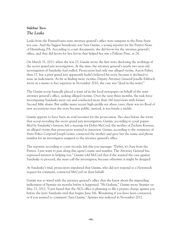#### **Sidebar Two:** *The Leaks*

Leaks from the Pennsylvania state attorney general's office were rampant in the Penn State sex case. And the biggest beneficiary was Sara Ganim, a young reporter for the Patriot News of Harrisburg, PA. According to court documents, she did favors for the attorney general's office, and they did favors for her, favors that helped her win a Pulitzer Prize, at 24.

On March 31, 2011, when she was 23, Ganim wrote the first story disclosing the workings of the secret grand jury investigation. At the time, the attorney general's nearly two-year-old investigation of Sandusky had stalled. Prosecutors had only one alleged victim, Aaron Fisher, then 17, but a prior grand jury apparently hadn't believed his story, because it declined to issue an indictment. As far as finding more victims, Deputy Attorney General Jonelle Eshbach wrote in a memo to her superiors in November 2010, the case was "dead in the water."

The Ganim scoop basically placed a want ad in the local newspaper on behalf of the state attorney general's office, seeking alleged victims. Over the next three months, the task force investigating Sandusky went out and conducted more than 160 interviews with former Second Mile alums. But unlike many recent high-profile sex abuse cases, there was no flood of new accusations once the story became public; instead, it was barely a trickle.

Gamin appears to have been an avid recruiter for the prosecution. Two days before she wrote that scoop revealing the secret grand jury investigation, Ganim, according to court papers filed by Sandusky's lawyers, left a message for Debra McCord, the mother of Zachary Konstas, an alleged victim that prosecutors wanted to interview. Ganim, according to the testimony of State Police Corporal Joseph Leiter, contacted the mother and gave her the name and phone number for an investigator assigned to the attorney general's office.

The reporter, according to court records, left this text message: "Debra, it's Sara from the Patriot. I just want to pass along this agent's name and number. The Attorney General has expressed interest in helping you." Ganim told McCord that if she wanted the case against Sandusky to proceed, she must call the investigator, because otherwise it might be dropped.

At Sandusky's trial, prosecutors stipulated that Ganim, who did not respond to a Newsweek request for comment, contacted McCord on their behalf.

Ganim was so wired with the attorney general's office that she knew about the impending indictment of Spanier six months before it happened. "Hi Graham," Ganim wrote Spanier on May 23, 2012. "I just heard that the AG's office is planning to file a perjury charge against you before the Jerry Sandusky trial that begins June 5th. Wondering if you have been contacted, or if you wanted to comment? Sara Ganim." Spanier was indicted in November 2012.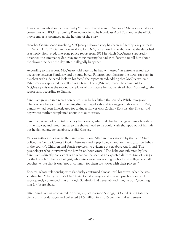It was Ganim who branded Sandusky "the most hated man in America." She also served as a consultant on HBO's upcoming Paterno movie, to be broadcast April 7th, and in the official movie trailer, is portrayed as the heroine of the story.

Another Ganim scoop involving McQueary's shower story has been refuted by a key witness. On Sept. 11, 2017, Ganim, now working for CNN, ran an exclusive about what she described as a newly discovered, one-page police report from 2011 in which McQueary supposedly described the emergency Saturday morning meeting he had with Paterno to tell him about the shower incident the day after it allegedly happened.

According to the report, McQueary told Paterno he had witnessed "an extreme sexual act occurring between Sandusky and a young boy… Paterno, upon hearing the news, sat back in his chair with a dejected look on his face," the report stated, adding that McQueary "said Paterno's eyes appeared to well up with tears. Then [Paterno] made the comment to McQueary this was the second complaint of this nature he had received about Sandusky," the report said, according to Ganim.

Sandusky grew up in a recreation center run by his father, the son of a Polish immigrant. That's where he got used to helping disadvantaged kids and taking group showers. In 1998, Sandusky had been investigated for taking a shower with Zachary Konstas, the 11-year-old boy whose mother complained about it to authorities.

Sandusky, who had been told the boy had cancer, admitted that he had gave him a bear-hug in the shower, and lifted him up to the showerhead so he could wash shampoo out of his hair, but he denied any sexual abuse, as did Konstas.

Various authorities came to the same conclusion. After an investigation by the Penn State police, the Centre County District Attorney and a psychologist and an investigator on behalf of the county's Children and Youth Services, no evidence of sex abuse was found. The psychologist who interviewed the boy for an hour wrote, "The behavior exhibited by Mr. Sandusky is directly consistent with what can be seen as an expected daily routine of being a football coach." The psychologist, who interviewed several high school and college football coaches, wrote that it was "not uncommon for them to shower with their players."

Konstas, whose relationship with Sandusky continued almost until his arrest, when he was sending him "Happy Father's Day" texts, found a lawyer and entered psychotherapy. He subsequently contended that although Sandusky had never abused him, he was "grooming" him for future abuse.

After Sandusky was convicted, Konstas, 29, of Colorado Springs, CO sued Penn State the civil courts for damages and collected \$1.5 million in a 2015 confidential settlement.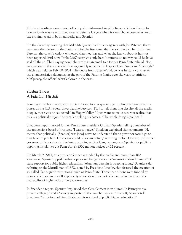If this extraordinary, one-page police report exists—and skeptics have called on Ganim to release it—it was never turned over to defense lawyers when it would have been relevant at the criminal trials of both Sandusky and Spanier.

On the Saturday morning that Mike McQueary had his emergency with Joe Paterno, there was one other person in the room, and for the first time, that person has told her story. Sue Paterno, the coach's widow, witnessed that meeting, and what she knows about it has not been reported until now. "Mike McQueary was only here 3 minutes so no way could he have said all the stuff he's saying now," she wrote in an email to a former Penn State official. "Joe was just out of the shower & dressing quickly to go to the Dapper Dan Dinner in Pittsburgh," which was held on Feb. 10, 2001. The quote from Paterno's widow was in stark contrast to the characteristic reluctance on the part of the Paterno family over the years to criticize McQueary, the official whistleblower in the case.

#### **Sidebar Three:** *A Political Hit Job*

Four days into his investigation at Penn State, former special agent John Snedden called his bosses at the U.S. Federal Investigative Services [FIS] to tell them that despite all the media hoopla, there was no sex scandal in Happy Valley. "I just want to make sure you realize that this is a political hit job," he recalled telling his bosses. "The whole thing is political."

Snedden's report quoted former Penn State President Graham Spanier telling a member of the university's board of trustees, "I was so naive." Snedden explained that comment: "He means that politically. [Spanier] was [too] naive to understand that a governor would go to that level to jam him. How a guy could be so vindictive," referring to Tom Corbett, the former governor of Pennsylvania. Corbett, according to Snedden, was angry at Spanier for publicly opposing his plan to cut Penn State's \$300 million budget by 52 percent.

On March 9, 2011, at a press conference attended by the media and more than 100 spectators, Spanier ripped Corbett's proposed budget cuts as a "near-total abandonment" of state support for public higher education. "Abraham Lincoln is weeping today," Spanier said, referring to the Morrill Act of 1862, signed by President Lincoln, that fostered the creation of so-called "land-grant institutions" such as Penn State. Those institutions were funded by grants of federally-controlled property to use or sell, as part of a campaign to expand the availability of higher education to non-elites.

In Snedden's report, Spanier "explained that Gov. Corbett is an alumni [a Pennsylvania private college]," and a "strong supporter of the voucher system." Corbett, Spanier told Snedden, "is not fond of Penn State, and is not fond of public higher education."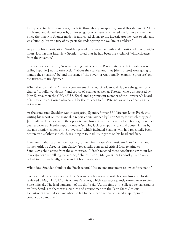In response to those comments, Corbett, through a spokesperson, issued this statement: "This is a biased and flawed report by an investigator who never contacted me for my perspective. Since the time Mr. Spanier made his fabricated claims to the investigator, he went to trial and was found guilty by a jury of his peers for endangering the welfare of children."

As part of his investigation, Snedden placed Spanier under oath and questioned him for eight hours. During that interview, Spanier stated that he had been the victim of "vindictiveness from the governor."

Spanier, Snedden wrote, "is now hearing that when the Penn State Board of Trustees was telling [Spanier] not to take action" about the scandal and that [the trustees] were going to handle the situation," behind the scenes, "the governor was actually exercising pressure" on the trustees to fire Spanier.

When the scandal hit, "It was a convenient disaster," Snedden said. It gave the governor a chance "to fulfill vendettas," and get rid of Spanier, as well as Paterno, who was opposed by John Surma, then the CEO of U.S. Steel, and a prominent member of the university's board of trustees. It was Surma who called for the trustees to fire Paterno, as well as Spanier in a voice vote.

At the same time Snedden was investigating Spanier, former FBI Director Louis Freeh was writing his report on the scandal, a report commissioned by Penn State, for which they paid \$8.3 million. Freeh came to the opposite conclusion that Snedden reached, finding there had been a cover up. Freeh's report found a "striking lack of empathy for child abuse victims by the most senior leaders of the university," which included Spanier, who had repeatedly been beaten by his father as a child, resulting in four adult surgeries on his head and face.

Freeh found that Spanier, Joe Paterno, former Penn State Vice President Gary Schultz and former Athletic Director Tim Curley "repeatedly concealed critical facts relating to Sandusky's child abuse from the authorities...." Freeh reached these conclusions without his investigators ever talking to Paterno, Schultz, Curley, McQueary or Sandusky. Freeh only talked to Spanier briefly, at the end of his investigation.

What does Snedden think of the Freeh report? "It's an embarrassment to law enforcement."

Confidential records show that Freeh's own people disagreed with his conclusions. His staff reviewed a May 21, 2012 draft of Freeh's report, which was subsequently turned over to Penn State officials. The lead paragraph of the draft said, "At the time of the alleged sexual assaults by Jerry Sandusky, there was a culture and environment in the Penn State Athletic Department that led staff members to fail to identify or act on observed inappropriate conduct by Sandusky."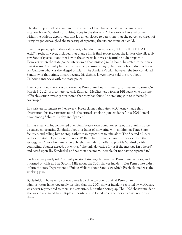The draft report talked about an environment of fear that affected even a janitor who supposedly saw Sandusky assaulting a boy in the showers: "There existed an environment within the athletic department that led an employee to determine that the perceived threat of losing his job outweighed the necessity of reporting the violent crime of a child."

Over that paragraph in the draft report, a handwritten note said, "NO EVIDENCE AT ALL!" Freeh, however, included that charge in his final report about the janitor who allegedly saw Sandusky assault another boy in the showers but was so fearful he didn't report it. However, when the state police interviewed that janitor, Jim Calhoun, he stated three times that it wasn't Sandusky he had seen sexually abusing a boy. [The state police didn't bother to ask Calhoun who was the alleged assailant.] At Sandusky's trial, however, the jury convicted Sandusky of that crime, in part because his defense lawyer never told the jury about Calhoun's interview with the state police.

Freeh concluded there was a coverup at Penn State, but his investigators weren't so sure. On March 7, 2012, in a conference call, Kathleen McChesney, a former FBI agent who was one of Freeh's senior investigators, noted that they had found "no smoking gun to indicate [a] cover-up."

In a written statement to Newsweek, Freeh claimed that after McChesney made that observation, his investigators found "the critical 'smoking gun' evidence" in a 2001 "email trove among Schultz, Curley and Spanier."

In that email chain, conducted over Penn State's own computer system, the administrators discussed confronting Sandusky about his habit of showering with children at Penn State facilities, and telling him to stop, rather than report him to officials at The Second Mile, as well as the state Department of Public Welfare. In the email chain, Curley described the strategy as a "more humane approach" that included an offer to provide Sandusky with counseling. Spanier agreed, but wrote, "The only downside for us if the message isn't 'heard' and acted upon [by Sandusky] and we then become vulnerable for not having reported it."

Curley subsequently told Sandusky to stop bringing children into Penn State facilities, and informed officials at The Second Mile about the 2001 shower incident. But Penn State didn't inform the state Department of Public Welfare about Sandusky, which Freeh claimed was the smoking gun.

By definition, however, a cover-up needs a crime to cover up. And Penn State's administrators have repeatedly testified that the 2001 shower incident reported by McQueary was never represented to them as a sex crime, but rather horseplay. The 1998 shower incident also was investigated by multiple authorities, who found no crime, nor any evidence of sex abuse.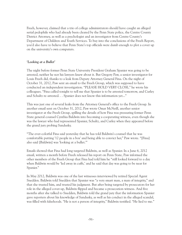Freeh, however, claimed that a trio of college administrators should have caught an alleged serial pedophile who had already been cleared by the Penn State police, the Centre County District Attorney, as well as a psychologist and an investigator from Centre County's Department of Children and Youth Services. To buy into the conclusions of the Freeh Report, you'd also have to believe that Penn State's top officials were dumb enough to plot a cover up on the university's own computers.

#### *'Looking at a Bullet'*

The night before former Penn State University President Graham Spanier was going to be arrested, neither he nor his lawyers knew about it. But Gregory Paw, a senior investigator for Louis Freeh did, thanks to a leak from Deputy Attorney General Fina. On the night of October 31, 2012, Paw sent an email to the Freeh Group, which was supposed to have conducted an independent investigation. "PLEASE HOLD VERY CLOSE," he wrote his colleagues. "Fina called tonight to tell me that Spanier is to be arrested tomorrow, and Curley and Schultz re-arrested. . . Spanier does not know this information yet..."

This was just one of several leaks from the Attorney General's office to the Freeh Group. In another email sent on October 31, 2012, Paw wrote Omar McNeill, another senior investigator at the Freeh Group, spilling the details of how Fina was pressuring former Penn State general counsel Cynthia Baldwin into becoming a cooperating witness, even though she was the lawyer who had represented Spanier, Schultz, and Curley when they appeared before the grand jury probing Sandusky.

"The ever-colorful Fina said yesterday that he has told Baldwin's counsel that he was comfortable putting '12 people in a box' and being able to convict her," Paw wrote. "[Fina] also said [Baldwin] was 'looking at a bullet.'"

Emails showed that Fina had long targeted Baldwin, as well as Spanier. In a June 6, 2012 email, written a month before Freeh released his report on Penn State, Paw informed the other members of the Freeh Group that Fina had told him he "still looked forward to a day when Baldwin would be 'led away in cuffs,' and he said that day was going to be near for Spanier."

In May 2012, Baldwin was one of the last witnesses interviewed by retired Special Agent Snedden. Baldwin told Snedden that Spanier was "a very smart man, a man of integrity," and that she trusted him, and trusted his judgment. But after being targeted by prosecutors for her role in the alleged cover-up, Baldwin flipped and became a prosecution witness. And five months after she talked to Snedden, Baldwin told the grand jury that the information Spanier gave reporters about his knowledge of Sandusky, as well as his conduct in the alleged scandal, was filled with falsehoods. "He is not a person of integrity," Baldwin testified. "He lied to me."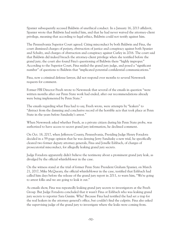Spanier subsequently accused Baldwin of unethical conduct. In a January 16, 2013 affidavit, Spanier wrote that Baldwin had misled him, and that he had never waived the attorney-client privilege, meaning that according to legal ethics, Baldwin could not testify against him.

The Pennsylvania Superior Court agreed. Citing misconduct by both Baldwin and Fina, the court dismissed charges of perjury, obstruction of justice and conspiracy against both Spanier and Schultz, and charges of obstruction and conspiracy against Curley in 2016. The court said that Baldwin did indeed breach the attorney-client privilege when she testified before the grand jury; the court also found Fina's questioning of Baldwin there "highly improper." According to the Superior Court, Fina misled the grand jury judge, and posed a "significant number" of questions to Baldwin that "implicated potential confidential communications."

Fina, now a criminal defense lawyer, did not respond over months to several Newsweek requests for comment.

Former FBI Director Freeh wrote to Newsweek that several of the emails in question "were written months after our Penn State work had ended, after our recommendations already were being implemented by Penn State."

The emails regarding what Fina had to say, Freeh wrote, were attempts by "leakers" to "distract from the damning and conclusive record of the horrible acts that took place at Penn State in the years before Sandusky's arrest."

When Newsweek asked whether Freeh, as a private citizen during his Penn State probe, was authorized to have access to secret grand jury information, he declined comment.

On Oct. 18, 2017, when Jefferson County, Pennsylvania, Presiding Judge Henry Foradora decided in a 59-page opinion that he was denying Jerry Sandusky a new trial, he specifically cleared two former deputy attorney generals, Fina and Jonelle Eshbach, of charges of prosecutorial misconduct, for allegedly leaking grand jury secrets.

Judge Foradora apparently didn't believe the testimony about a prominent grand jury leak, as divulged by the official whistleblower in the case.

On the witness stand at the trial of former Penn State President Graham Spanier, on March 21, 2017, Mike McQueary, the official whistleblower in the case, testified that Eshbach had called him days before the release of the grand jury report in 2011, to warn him, "We're going to arrest folks and we are going to leak it out."

As emails show, Fina was repeatedly leaking grand jury secrets to investigators at the Freeh Group. But Judge Foradora concluded that it wasn't Fina or Eshbach who was leaking grand jury secrets to reporter Sara Ganim. Why? Because Fina had testified the had set a trap for the real leakers in the attorney general's office, but couldn't find the culprits. Fina also asked the supervising judge of the grand jury to investigate where the leaks were coming from.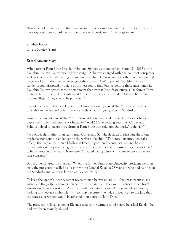"It is a fact of human nature that one engaged in or aware of misconduct he does not wish to have exposed does not ask an outside source to investigate it," the judge wrote.

#### **Sidebar Four:** *The Spanier Trial*

#### *Ever-Changing Story*

When former Penn State President Graham Spanier went on trial on March 21, 2017 at the Dauphin County Courthouse in Harrisburg, PA, he was charged with one count of conspiracy and two counts of endangering the welfare of a child. He was facing another jury pool tainted by years of saturation media coverage of the scandal. A 2013 poll of Dauphin County residents commissioned by defense attorneys found that 46.9 percent of those questioned in Dauphin County agreed with the statement that even if Penn State officials like former Penn State athletic director Tim Curley and former university vice-president Gary Schultz did nothing illegal, "they should be punished."

Seventy percent of the people polled in Dauphin County agreed that "from very early on, officials like Curley and Schultz knew exactly what was going on with Sandusky."

Almost 65 percent agreed that "the culture at Penn State and in the Penn State athletic department tolerated Sandusky's behavior." And 62.6 percent agreed that "Curley and Schultz helped to create the culture at Penn State that tolerated Sandusky's behavior."

No wonder that rather than stand trial, Curley and Schultz decided to plea bargain to one misdemeanor count of endangering the welfare of a child. "The state [attorney general's office], the media, the incredibly-flawed Freeh Report, and accuser settlements based erroneously on our presumed guilt, created a stew that made it impossible to get a fair trial," Schultz wrote in an email to Newsweek. "I feared facing a jury with three felony counts for these reasons."

But Spanier refused to cut a deal. When the former Penn State University president went on trial, the prosecution called as its star witness Michal Kajak, a 28-year-old who had testified at the Sandusky trial and was known as "Victim No. 5."

To keep the victim's identity secret (even though he was an adult), Kajak was sworn in as a witness in the judge's chambers. When the jury came out, they were surprised to see Kajak already on the witness stand. As extra sheriff's deputies patrolled the jammed courtroom, looking for spectators who might try to snap a picture, the judge announced to the jury that the state's star witness would be referred to in court as "John Doe."

The prosecutor placed a box of Kleenex next to the witness stand before he asked Kajak if he had ever been sexually abused.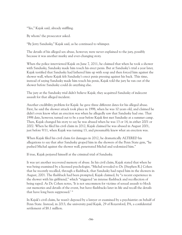"Yes," Kajak said, already sniffling.

By whom? the prosecutor asked.

"By Jerry Sandusky," Kajak said, as he continued to whimper.

The details of his alleged sex abuse, however, were never explained to the jury, possibly because it was another murky and ever-changing story.

When the police interviewed Kajak on June 7, 2011, he claimed that when he took a shower with Sandusky, Sandusky made him touch his erect penis. But at Sandusky's trial a year later, Kajak testified that Sandusky had lathered him up with soap and then forced him against the shower wall, where Kajak felt Sandusky's erect penis pressing against his back. This time, instead of saying Sandusky made him touch his penis, Kajak told the jury he ran out of the shower before Sandusky could do anything else.

The jury at the Sandusky trial didn't believe Kajak; they acquitted Sandusky of indecent assault for that alleged incident.

Another credibility problem for Kajak: he gave three different dates for his alleged abuse. First, he said the shower attack took place in 1998, when he was 10 years old, and claimed he didn't even know what an erection was when he allegedly saw that Sandusky had one. That 1998 date, however, turned out to be a year before Kajak first met Sandusky at a summer camp. Then, Kajak changed his story to say he was abused when he was 13 or 14, in either 2001 or 2002. When he filed his civil claim in 2012, Kajak claimed he was abused in August 2001, just before 9/11, when Kajak was turning 13, and presumably knew what an erection was.

When Kajak filed his civil claim for damages in 2012, he dramatically ALTERED his allegations to say that after Sandusky groped him in the showers of the Penn State gym, "he pushed Michal against the shower wall, penetrated Michal and sodomized him."

If true, Kajak perjured himself at the criminal trial of Sandusky.

It was yet another recovered memory of abuse. In his civil claim, Kajak stated that when he was being examined by a licensed psychologist, "Michal revealed to Dr. [Stephen R.] Cohen that he recently recalled, through a flashback, that Sandusky had raped him in the showers in August, 2001. The flashback had been prompted, Kajak claimed, by "a recent experience in the shower with his girlfriend," which "triggered 'an intense flashback and recollection of being raped. As Dr. Cohen notes, 'It is not uncommon for victims of sexual assault to block out memories and details of the event, but have flashbacks later in life and recall the details that have long been suppressed.' "

In Kajak's civil claim, he wasn't deposed by a lawyer or examined by a psychiatrist on behalf of Penn State. Instead, in 2013, the university paid Kajak, 29 of Royersford, PA, a confidential settlement of \$8.1 million.